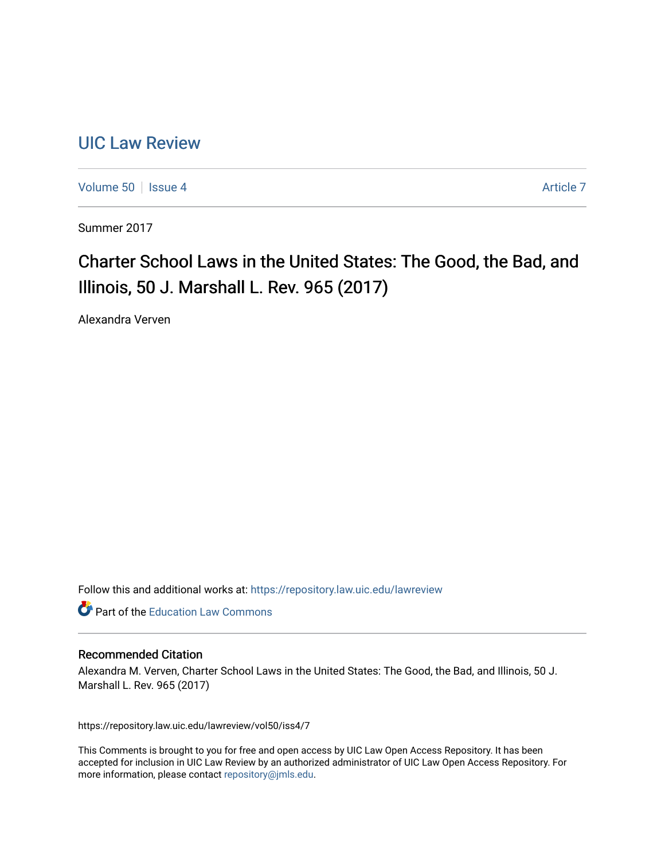# [UIC Law Review](https://repository.law.uic.edu/lawreview)

[Volume 50](https://repository.law.uic.edu/lawreview/vol50) | [Issue 4](https://repository.law.uic.edu/lawreview/vol50/iss4) Article 7

Summer 2017

# Charter School Laws in the United States: The Good, the Bad, and Illinois, 50 J. Marshall L. Rev. 965 (2017)

Alexandra Verven

Follow this and additional works at: [https://repository.law.uic.edu/lawreview](https://repository.law.uic.edu/lawreview?utm_source=repository.law.uic.edu%2Flawreview%2Fvol50%2Fiss4%2F7&utm_medium=PDF&utm_campaign=PDFCoverPages) 

**Part of the Education Law Commons** 

### Recommended Citation

Alexandra M. Verven, Charter School Laws in the United States: The Good, the Bad, and Illinois, 50 J. Marshall L. Rev. 965 (2017)

https://repository.law.uic.edu/lawreview/vol50/iss4/7

This Comments is brought to you for free and open access by UIC Law Open Access Repository. It has been accepted for inclusion in UIC Law Review by an authorized administrator of UIC Law Open Access Repository. For more information, please contact [repository@jmls.edu.](mailto:repository@jmls.edu)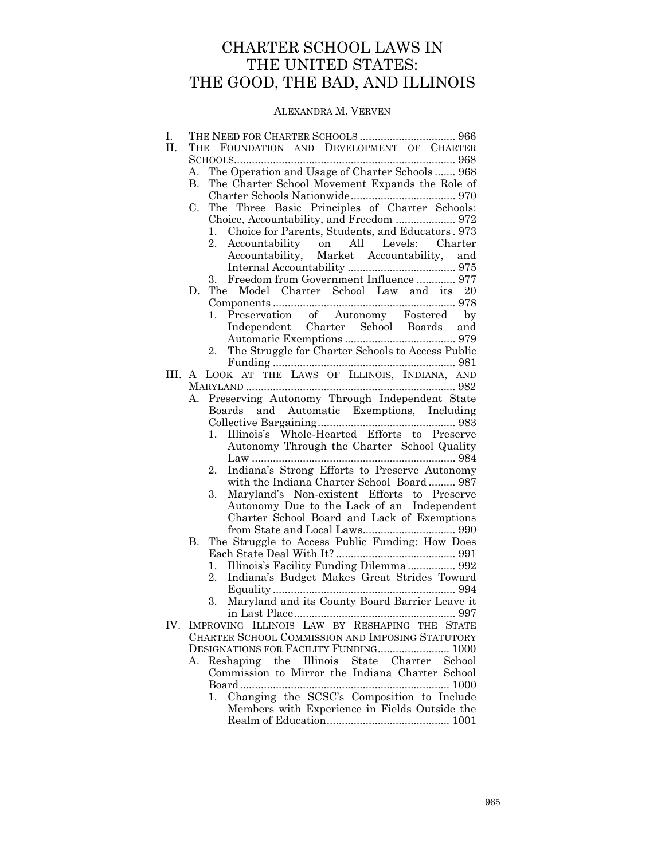# CHARTER SCHOOL LAWS IN THE UNITED STATES: THE GOOD, THE BAD, AND ILLINOIS

## ALEXANDRA M. VERVEN

| Ι.     |                                                                                                                                           |                                                        |  |  |  |  |  |  |  |  |
|--------|-------------------------------------------------------------------------------------------------------------------------------------------|--------------------------------------------------------|--|--|--|--|--|--|--|--|
| П.     | THE FOUNDATION AND DEVELOPMENT OF CHARTER                                                                                                 |                                                        |  |  |  |  |  |  |  |  |
|        |                                                                                                                                           |                                                        |  |  |  |  |  |  |  |  |
|        | А.                                                                                                                                        | The Operation and Usage of Charter Schools 968         |  |  |  |  |  |  |  |  |
|        | В.                                                                                                                                        | The Charter School Movement Expands the Role of        |  |  |  |  |  |  |  |  |
|        | The Three Basic Principles of Charter Schools:<br>C.<br>Choice, Accountability, and Freedom  972                                          |                                                        |  |  |  |  |  |  |  |  |
|        |                                                                                                                                           |                                                        |  |  |  |  |  |  |  |  |
|        |                                                                                                                                           |                                                        |  |  |  |  |  |  |  |  |
|        |                                                                                                                                           | Choice for Parents, Students, and Educators. 973<br>1. |  |  |  |  |  |  |  |  |
|        |                                                                                                                                           | Accountability on All Levels: Charter<br>2.            |  |  |  |  |  |  |  |  |
|        |                                                                                                                                           | Accountability, Market Accountability, and             |  |  |  |  |  |  |  |  |
|        |                                                                                                                                           |                                                        |  |  |  |  |  |  |  |  |
|        |                                                                                                                                           | 3. Freedom from Government Influence  977              |  |  |  |  |  |  |  |  |
|        | The Model Charter School Law and its 20<br>D.                                                                                             |                                                        |  |  |  |  |  |  |  |  |
|        |                                                                                                                                           |                                                        |  |  |  |  |  |  |  |  |
|        |                                                                                                                                           | Preservation of Autonomy Fostered by<br>1.             |  |  |  |  |  |  |  |  |
|        |                                                                                                                                           | Independent Charter School Boards and                  |  |  |  |  |  |  |  |  |
|        |                                                                                                                                           | 2.                                                     |  |  |  |  |  |  |  |  |
|        |                                                                                                                                           | The Struggle for Charter Schools to Access Public      |  |  |  |  |  |  |  |  |
| III. A |                                                                                                                                           | LOOK AT THE LAWS OF ILLINOIS, INDIANA, AND             |  |  |  |  |  |  |  |  |
|        |                                                                                                                                           |                                                        |  |  |  |  |  |  |  |  |
|        | Α.                                                                                                                                        | Preserving Autonomy Through Independent State          |  |  |  |  |  |  |  |  |
|        |                                                                                                                                           | Boards and Automatic Exemptions, Including             |  |  |  |  |  |  |  |  |
|        |                                                                                                                                           |                                                        |  |  |  |  |  |  |  |  |
|        |                                                                                                                                           | Illinois's Whole-Hearted Efforts to Preserve<br>1.     |  |  |  |  |  |  |  |  |
|        |                                                                                                                                           | Autonomy Through the Charter School Quality            |  |  |  |  |  |  |  |  |
|        |                                                                                                                                           |                                                        |  |  |  |  |  |  |  |  |
|        |                                                                                                                                           | Indiana's Strong Efforts to Preserve Autonomy<br>2.    |  |  |  |  |  |  |  |  |
|        |                                                                                                                                           | with the Indiana Charter School Board 987              |  |  |  |  |  |  |  |  |
|        |                                                                                                                                           | Maryland's Non-existent Efforts to Preserve<br>3.      |  |  |  |  |  |  |  |  |
|        |                                                                                                                                           | Autonomy Due to the Lack of an Independent             |  |  |  |  |  |  |  |  |
|        |                                                                                                                                           | Charter School Board and Lack of Exemptions            |  |  |  |  |  |  |  |  |
|        |                                                                                                                                           |                                                        |  |  |  |  |  |  |  |  |
|        | В.                                                                                                                                        | The Struggle to Access Public Funding: How Does        |  |  |  |  |  |  |  |  |
|        |                                                                                                                                           |                                                        |  |  |  |  |  |  |  |  |
|        |                                                                                                                                           | Illinois's Facility Funding Dilemma 992<br>1.          |  |  |  |  |  |  |  |  |
|        |                                                                                                                                           | 2.<br>Indiana's Budget Makes Great Strides Toward      |  |  |  |  |  |  |  |  |
|        |                                                                                                                                           |                                                        |  |  |  |  |  |  |  |  |
|        |                                                                                                                                           | Maryland and its County Board Barrier Leave it<br>3.   |  |  |  |  |  |  |  |  |
| IV.    |                                                                                                                                           |                                                        |  |  |  |  |  |  |  |  |
|        |                                                                                                                                           | IMPROVING ILLINOIS LAW BY RESHAPING THE STATE          |  |  |  |  |  |  |  |  |
|        | CHARTER SCHOOL COMMISSION AND IMPOSING STATUTORY<br>DESIGNATIONS FOR FACILITY FUNDING 1000<br>Reshaping the Illinois State Charter School |                                                        |  |  |  |  |  |  |  |  |
|        |                                                                                                                                           |                                                        |  |  |  |  |  |  |  |  |
|        | А.                                                                                                                                        | Commission to Mirror the Indiana Charter School        |  |  |  |  |  |  |  |  |
|        |                                                                                                                                           |                                                        |  |  |  |  |  |  |  |  |
|        |                                                                                                                                           | Changing the SCSC's Composition to Include<br>1.       |  |  |  |  |  |  |  |  |
|        |                                                                                                                                           | Members with Experience in Fields Outside the          |  |  |  |  |  |  |  |  |
|        |                                                                                                                                           |                                                        |  |  |  |  |  |  |  |  |
|        |                                                                                                                                           |                                                        |  |  |  |  |  |  |  |  |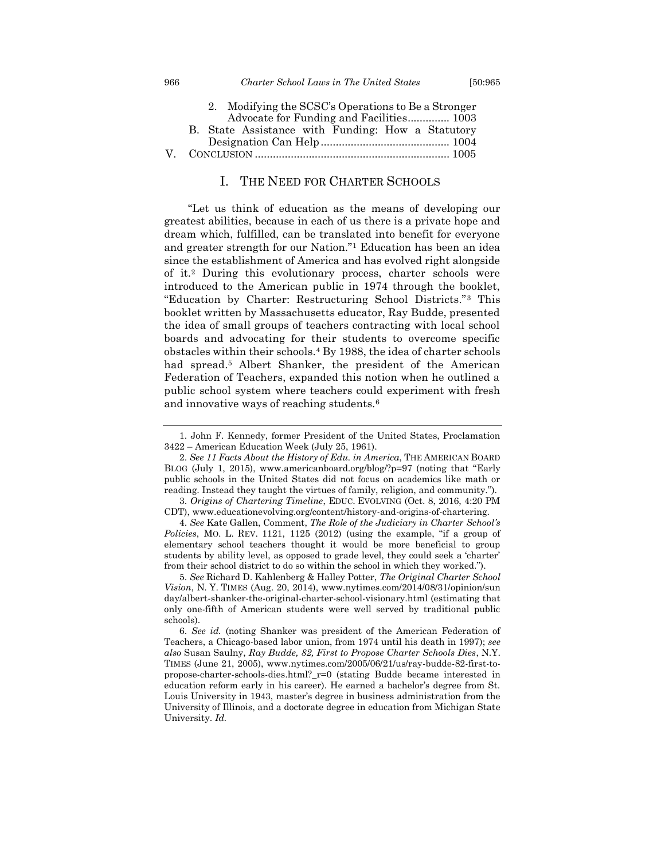|  | 2. Modifying the SCSC's Operations to Be a Stronger |  |  |  |
|--|-----------------------------------------------------|--|--|--|
|  | Advocate for Funding and Facilities 1003            |  |  |  |
|  | B. State Assistance with Funding: How a Statutory   |  |  |  |
|  |                                                     |  |  |  |
|  |                                                     |  |  |  |
|  |                                                     |  |  |  |

## I. THE NEED FOR CHARTER SCHOOLS

<span id="page-2-0"></span>"Let us think of education as the means of developing our greatest abilities, because in each of us there is a private hope and dream which, fulfilled, can be translated into benefit for everyone and greater strength for our Nation."<sup>1</sup> Education has been an idea since the establishment of America and has evolved right alongside of it.<sup>2</sup> During this evolutionary process, charter schools were introduced to the American public in 1974 through the booklet, "Education by Charter: Restructuring School Districts."<sup>3</sup> This booklet written by Massachusetts educator, Ray Budde, presented the idea of small groups of teachers contracting with local school boards and advocating for their students to overcome specific obstacles within their schools.<sup>4</sup> By 1988, the idea of charter schools had spread.<sup>5</sup> Albert Shanker, the president of the American Federation of Teachers, expanded this notion when he outlined a public school system where teachers could experiment with fresh and innovative ways of reaching students.<sup>6</sup>

<sup>1.</sup> John F. Kennedy, former President of the United States, Proclamation 3422 – American Education Week (July 25, 1961).

<sup>2.</sup> *See 11 Facts About the History of Edu. in America*, THE AMERICAN BOARD BLOG (July 1, 2015), www.americanboard.org/blog/?p=97 (noting that "Early public schools in the United States did not focus on academics like math or reading. Instead they taught the virtues of family, religion, and community.").

<sup>3.</sup> *Origins of Chartering Timeline*, EDUC. EVOLVING (Oct. 8, 2016, 4:20 PM CDT), www.educationevolving.org/content/history-and-origins-of-chartering.

<sup>4.</sup> *See* Kate Gallen, Comment, *The Role of the Judiciary in Charter School's Policies*, MO. L. REV. 1121, 1125 (2012) (using the example, "if a group of elementary school teachers thought it would be more beneficial to group students by ability level, as opposed to grade level, they could seek a 'charter' from their school district to do so within the school in which they worked.").

<sup>5.</sup> *See* Richard D. Kahlenberg & Halley Potter, *The Original Charter School Vision*, N. Y. TIMES (Aug. 20, 2014), www.nytimes.com/2014/08/31/opinion/sun day/albert-shanker-the-original-charter-school-visionary.html (estimating that only one-fifth of American students were well served by traditional public schools).

<sup>6.</sup> *See id.* (noting Shanker was president of the American Federation of Teachers, a Chicago-based labor union, from 1974 until his death in 1997); *see also* Susan Saulny, *Ray Budde, 82, First to Propose Charter Schools Dies*, N.Y. TIMES (June 21, 2005), www.nytimes.com/2005/06/21/us/ray-budde-82-first-topropose-charter-schools-dies.html?\_r=0 (stating Budde became interested in education reform early in his career). He earned a bachelor's degree from St. Louis University in 1943, master's degree in business administration from the University of Illinois, and a doctorate degree in education from Michigan State University. *Id.*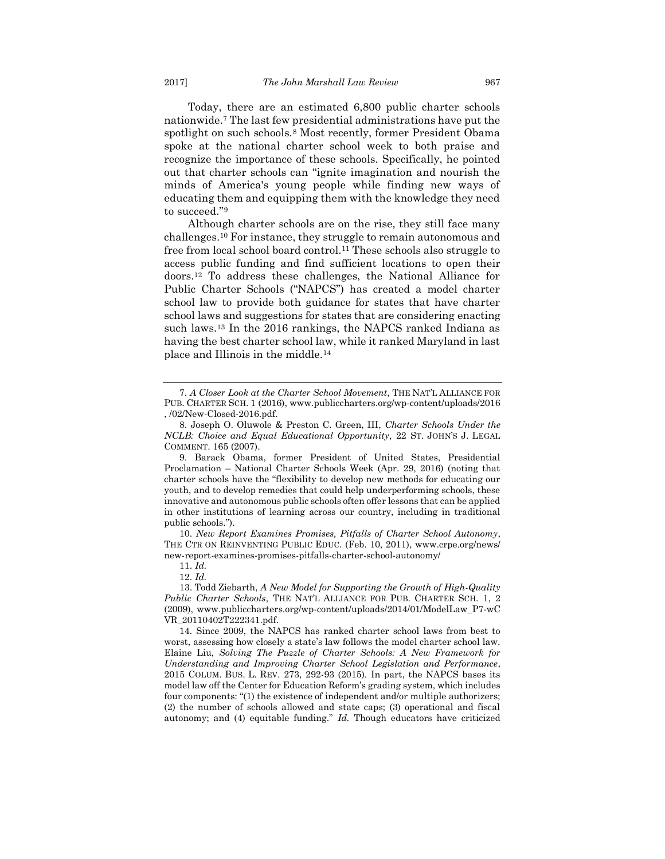Today, there are an estimated 6,800 public charter schools nationwide.<sup>7</sup> The last few presidential administrations have put the spotlight on such schools.<sup>8</sup> Most recently, former President Obama spoke at the national charter school week to both praise and recognize the importance of these schools. Specifically, he pointed out that charter schools can "ignite imagination and nourish the minds of America's young people while finding new ways of educating them and equipping them with the knowledge they need to succeed."<sup>9</sup>

Although charter schools are on the rise, they still face many challenges.<sup>10</sup> For instance, they struggle to remain autonomous and free from local school board control.<sup>11</sup> These schools also struggle to access public funding and find sufficient locations to open their doors.<sup>12</sup> To address these challenges, the National Alliance for Public Charter Schools ("NAPCS") has created a model charter school law to provide both guidance for states that have charter school laws and suggestions for states that are considering enacting such laws.<sup>13</sup> In the 2016 rankings, the NAPCS ranked Indiana as having the best charter school law, while it ranked Maryland in last place and Illinois in the middle.<sup>14</sup>

10. *New Report Examines Promises, Pitfalls of Charter School Autonomy*, THE CTR ON REINVENTING PUBLIC EDUC. (Feb. 10, 2011), www.crpe.org/news/ new-report-examines-promises-pitfalls-charter-school-autonomy/

11. *Id.*

<sup>7.</sup> *A Closer Look at the Charter School Movement*, THE NAT'L ALLIANCE FOR PUB. CHARTER SCH. 1 (2016), www.publiccharters.org/wp-content/uploads/2016 , /02/New-Closed-2016.pdf.

<sup>8.</sup> Joseph O. Oluwole & Preston C. Green, III, *Charter Schools Under the NCLB: Choice and Equal Educational Opportunity*, 22 ST. JOHN'S J. LEGAL COMMENT. 165 (2007).

<sup>9.</sup> Barack Obama, former President of United States, Presidential Proclamation – National Charter Schools Week (Apr. 29, 2016) (noting that charter schools have the "flexibility to develop new methods for educating our youth, and to develop remedies that could help underperforming schools, these innovative and autonomous public schools often offer lessons that can be applied in other institutions of learning across our country, including in traditional public schools.").

<sup>12.</sup> *Id.*

<sup>13.</sup> Todd Ziebarth, *A New Model for Supporting the Growth of High-Quality Public Charter Schools*, THE NAT'L ALLIANCE FOR PUB. CHARTER SCH. 1, 2 (2009), www.publiccharters.org/wp-content/uploads/2014/01/ModelLaw\_P7-wC VR\_20110402T222341.pdf.

<sup>14.</sup> Since 2009, the NAPCS has ranked charter school laws from best to worst, assessing how closely a state's law follows the model charter school law. Elaine Liu, *Solving The Puzzle of Charter Schools: A New Framework for Understanding and Improving Charter School Legislation and Performance*, 2015 COLUM. BUS. L. REV. 273, 292-93 (2015). In part, the NAPCS bases its model law off the Center for Education Reform's grading system, which includes four components: "(1) the existence of independent and/or multiple authorizers; (2) the number of schools allowed and state caps; (3) operational and fiscal autonomy; and (4) equitable funding." *Id.* Though educators have criticized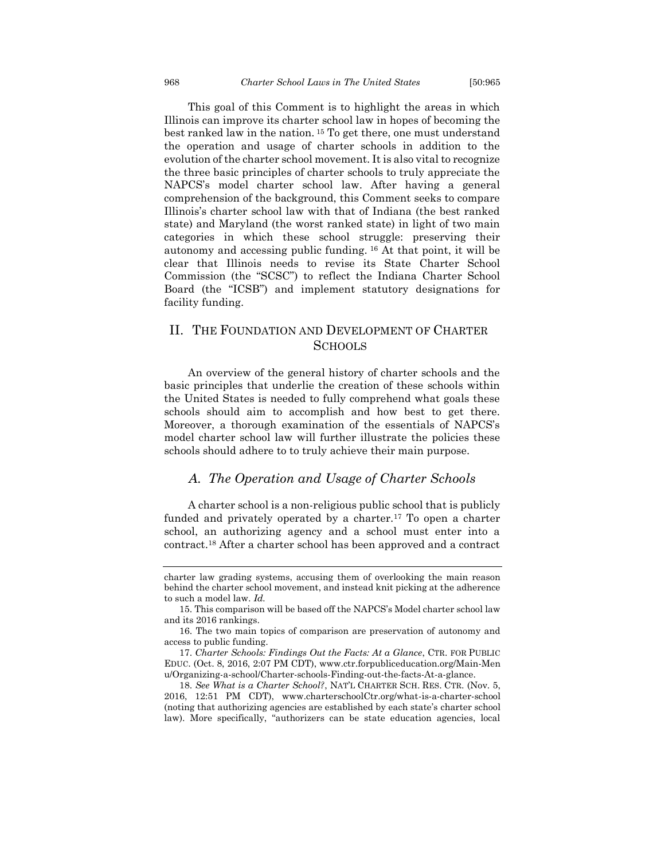This goal of this Comment is to highlight the areas in which Illinois can improve its charter school law in hopes of becoming the best ranked law in the nation. <sup>15</sup> To get there, one must understand the operation and usage of charter schools in addition to the evolution of the charter school movement. It is also vital to recognize the three basic principles of charter schools to truly appreciate the NAPCS's model charter school law. After having a general comprehension of the background, this Comment seeks to compare Illinois's charter school law with that of Indiana (the best ranked state) and Maryland (the worst ranked state) in light of two main categories in which these school struggle: preserving their autonomy and accessing public funding. <sup>16</sup> At that point, it will be clear that Illinois needs to revise its State Charter School Commission (the "SCSC") to reflect the Indiana Charter School Board (the "ICSB") and implement statutory designations for facility funding.

## <span id="page-4-0"></span>II. THE FOUNDATION AND DEVELOPMENT OF CHARTER **SCHOOLS**

An overview of the general history of charter schools and the basic principles that underlie the creation of these schools within the United States is needed to fully comprehend what goals these schools should aim to accomplish and how best to get there. Moreover, a thorough examination of the essentials of NAPCS's model charter school law will further illustrate the policies these schools should adhere to to truly achieve their main purpose.

## <span id="page-4-1"></span>*A. The Operation and Usage of Charter Schools*

A charter school is a non-religious public school that is publicly funded and privately operated by a charter.<sup>17</sup> To open a charter school, an authorizing agency and a school must enter into a contract.<sup>18</sup> After a charter school has been approved and a contract

charter law grading systems, accusing them of overlooking the main reason behind the charter school movement, and instead knit picking at the adherence to such a model law. *Id.*

<sup>15.</sup> This comparison will be based off the NAPCS's Model charter school law and its 2016 rankings.

<sup>16.</sup> The two main topics of comparison are preservation of autonomy and access to public funding.

<sup>17.</sup> *Charter Schools: Findings Out the Facts: At a Glance*, CTR. FOR PUBLIC EDUC. (Oct. 8, 2016, 2:07 PM CDT), www.ctr.forpubliceducation.org/Main-Men u/Organizing-a-school/Charter-schools-Finding-out-the-facts-At-a-glance.

<sup>18.</sup> *See What is a Charter School?*, NAT'L CHARTER SCH. RES. CTR. (Nov. 5, 2016, 12:51 PM CDT), www.charterschoolCtr.org/what-is-a-charter-school (noting that authorizing agencies are established by each state's charter school law). More specifically, "authorizers can be state education agencies, local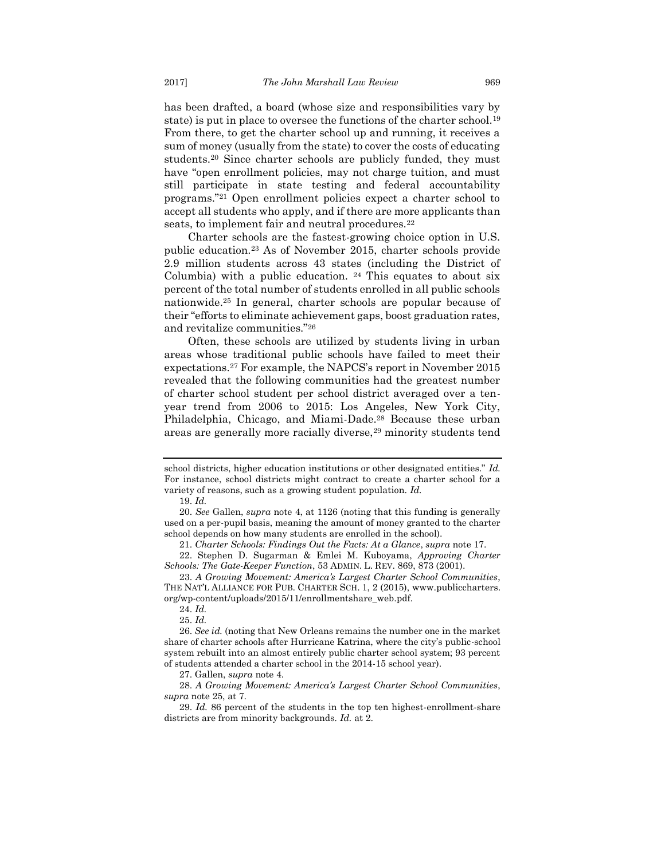has been drafted, a board (whose size and responsibilities vary by state) is put in place to oversee the functions of the charter school.<sup>19</sup> From there, to get the charter school up and running, it receives a sum of money (usually from the state) to cover the costs of educating students.<sup>20</sup> Since charter schools are publicly funded, they must have "open enrollment policies, may not charge tuition, and must still participate in state testing and federal accountability programs."<sup>21</sup> Open enrollment policies expect a charter school to accept all students who apply, and if there are more applicants than seats, to implement fair and neutral procedures.<sup>22</sup>

Charter schools are the fastest-growing choice option in U.S. public education.<sup>23</sup> As of November 2015, charter schools provide 2.9 million students across 43 states (including the District of Columbia) with a public education.  $24$  This equates to about six percent of the total number of students enrolled in all public schools nationwide.<sup>25</sup> In general, charter schools are popular because of their "efforts to eliminate achievement gaps, boost graduation rates, and revitalize communities."<sup>26</sup>

Often, these schools are utilized by students living in urban areas whose traditional public schools have failed to meet their expectations.<sup>27</sup> For example, the NAPCS's report in November 2015 revealed that the following communities had the greatest number of charter school student per school district averaged over a tenyear trend from 2006 to 2015: Los Angeles, New York City, Philadelphia, Chicago, and Miami-Dade.<sup>28</sup> Because these urban areas are generally more racially diverse,<sup>29</sup> minority students tend

school districts, higher education institutions or other designated entities." *Id.*  For instance, school districts might contract to create a charter school for a variety of reasons, such as a growing student population. *Id.*

<sup>19.</sup> *Id.*

<sup>20.</sup> *See* Gallen, *supra* note 4, at 1126 (noting that this funding is generally used on a per-pupil basis, meaning the amount of money granted to the charter school depends on how many students are enrolled in the school).

<sup>21.</sup> *Charter Schools: Findings Out the Facts: At a Glance*, *supra* note 17.

<sup>22.</sup> Stephen D. Sugarman & Emlei M. Kuboyama, *Approving Charter Schools: The Gate-Keeper Function*, 53 ADMIN. L. REV. 869, 873 (2001).

<sup>23.</sup> *A Growing Movement: America's Largest Charter School Communities*, THE NAT'L ALLIANCE FOR PUB. CHARTER SCH. 1, 2 (2015), www.publiccharters. org/wp-content/uploads/2015/11/enrollmentshare\_web.pdf.

<sup>24.</sup> *Id.*

<sup>25.</sup> *Id.*

<sup>26.</sup> *See id.* (noting that New Orleans remains the number one in the market share of charter schools after Hurricane Katrina, where the city's public-school system rebuilt into an almost entirely public charter school system; 93 percent of students attended a charter school in the 2014-15 school year).

<sup>27.</sup> Gallen, *supra* note 4.

<sup>28.</sup> *A Growing Movement: America's Largest Charter School Communities*, *supra* note 25, at 7.

<sup>29.</sup> *Id.* 86 percent of the students in the top ten highest-enrollment-share districts are from minority backgrounds*. Id.* at 2.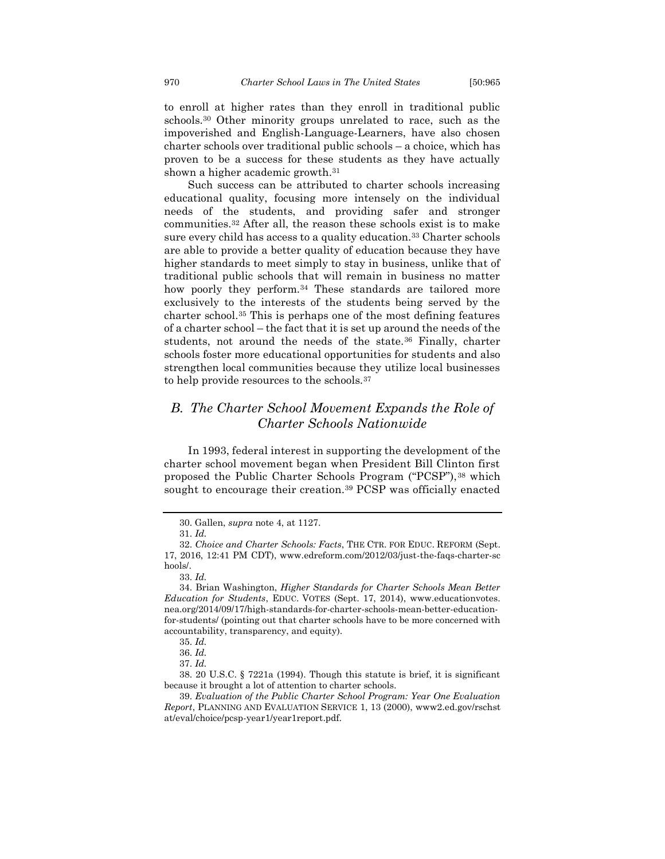to enroll at higher rates than they enroll in traditional public schools.<sup>30</sup> Other minority groups unrelated to race, such as the impoverished and English-Language-Learners, have also chosen charter schools over traditional public schools – a choice, which has proven to be a success for these students as they have actually shown a higher academic growth.<sup>31</sup>

Such success can be attributed to charter schools increasing educational quality, focusing more intensely on the individual needs of the students, and providing safer and stronger communities.<sup>32</sup> After all, the reason these schools exist is to make sure every child has access to a quality education.<sup>33</sup> Charter schools are able to provide a better quality of education because they have higher standards to meet simply to stay in business, unlike that of traditional public schools that will remain in business no matter how poorly they perform.<sup>34</sup> These standards are tailored more exclusively to the interests of the students being served by the charter school.<sup>35</sup> This is perhaps one of the most defining features of a charter school – the fact that it is set up around the needs of the students, not around the needs of the state.<sup>36</sup> Finally, charter schools foster more educational opportunities for students and also strengthen local communities because they utilize local businesses to help provide resources to the schools.<sup>37</sup>

## <span id="page-6-0"></span>*B. The Charter School Movement Expands the Role of Charter Schools Nationwide*

In 1993, federal interest in supporting the development of the charter school movement began when President Bill Clinton first proposed the Public Charter Schools Program ("PCSP"), 38 which sought to encourage their creation.<sup>39</sup> PCSP was officially enacted

<sup>30.</sup> Gallen, *supra* note 4, at 1127.

<sup>31.</sup> *Id.*

<sup>32.</sup> *Choice and Charter Schools: Facts*, THE CTR. FOR EDUC. REFORM (Sept. 17, 2016, 12:41 PM CDT), www.edreform.com/2012/03/just-the-faqs-charter-sc hools/.

<sup>33.</sup> *Id.*

<sup>34.</sup> Brian Washington, *Higher Standards for Charter Schools Mean Better Education for Students*, EDUC. VOTES (Sept. 17, 2014), www.educationvotes. nea.org/2014/09/17/high-standards-for-charter-schools-mean-better-educationfor-students/ (pointing out that charter schools have to be more concerned with accountability, transparency, and equity).

<sup>35.</sup> *Id.*

<sup>36.</sup> *Id.*

<sup>37.</sup> *Id.*

<sup>38.</sup> 20 U.S.C. § 7221a (1994). Though this statute is brief, it is significant because it brought a lot of attention to charter schools.

<sup>39.</sup> *Evaluation of the Public Charter School Program: Year One Evaluation Report*, PLANNING AND EVALUATION SERVICE 1, 13 (2000), www2.ed.gov/rschst at/eval/choice/pcsp-year1/year1report.pdf.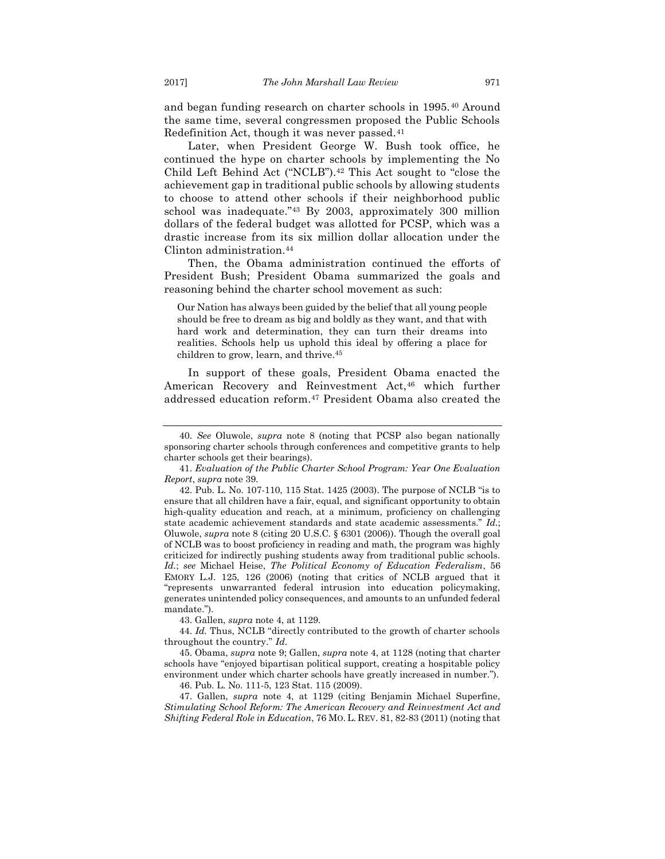and began funding research on charter schools in 1995.<sup>40</sup> Around the same time, several congressmen proposed the Public Schools Redefinition Act, though it was never passed.<sup>41</sup>

Later, when President George W. Bush took office, he continued the hype on charter schools by implementing the No Child Left Behind Act ("NCLB").<sup>42</sup> This Act sought to "close the achievement gap in traditional public schools by allowing students to choose to attend other schools if their neighborhood public school was inadequate."<sup>43</sup> By 2003, approximately 300 million dollars of the federal budget was allotted for PCSP, which was a drastic increase from its six million dollar allocation under the Clinton administration.<sup>44</sup>

Then, the Obama administration continued the efforts of President Bush; President Obama summarized the goals and reasoning behind the charter school movement as such:

Our Nation has always been guided by the belief that all young people should be free to dream as big and boldly as they want, and that with hard work and determination, they can turn their dreams into realities. Schools help us uphold this ideal by offering a place for children to grow, learn, and thrive.<sup>45</sup>

In support of these goals, President Obama enacted the American Recovery and Reinvestment Act,<sup>46</sup> which further addressed education reform.<sup>47</sup> President Obama also created the

43. Gallen, *supra* note 4, at 1129.

44. *Id.* Thus, NCLB "directly contributed to the growth of charter schools throughout the country." *Id.*

45. Obama, *supra* note 9; Gallen, *supra* note 4, at 1128 (noting that charter schools have "enjoyed bipartisan political support, creating a hospitable policy environment under which charter schools have greatly increased in number.").

46. Pub. L. No. 111-5, 123 Stat. 115 (2009).

47. Gallen, *supra* note 4, at 1129 (citing Benjamin Michael Superfine, *Stimulating School Reform: The American Recovery and Reinvestment Act and Shifting Federal Role in Education*, 76 MO. L. REV. 81, 82-83 (2011) (noting that

<sup>40.</sup> *See* Oluwole, *supra* note 8 (noting that PCSP also began nationally sponsoring charter schools through conferences and competitive grants to help charter schools get their bearings).

<sup>41.</sup> *Evaluation of the Public Charter School Program: Year One Evaluation Report*, *supra* note 39.

<sup>42.</sup> Pub. L. No. 107-110, 115 Stat. 1425 (2003). The purpose of NCLB "is to ensure that all children have a fair, equal, and significant opportunity to obtain high-quality education and reach, at a minimum, proficiency on challenging state academic achievement standards and state academic assessments." *Id.*; Oluwole, *supra* note 8 (citing 20 U.S.C. § 6301 (2006)). Though the overall goal of NCLB was to boost proficiency in reading and math, the program was highly criticized for indirectly pushing students away from traditional public schools. *Id.*; *see* Michael Heise, *The Political Economy of Education Federalism*, 56 EMORY L.J. 125, 126 (2006) (noting that critics of NCLB argued that it "represents unwarranted federal intrusion into education policymaking, generates unintended policy consequences, and amounts to an unfunded federal mandate.").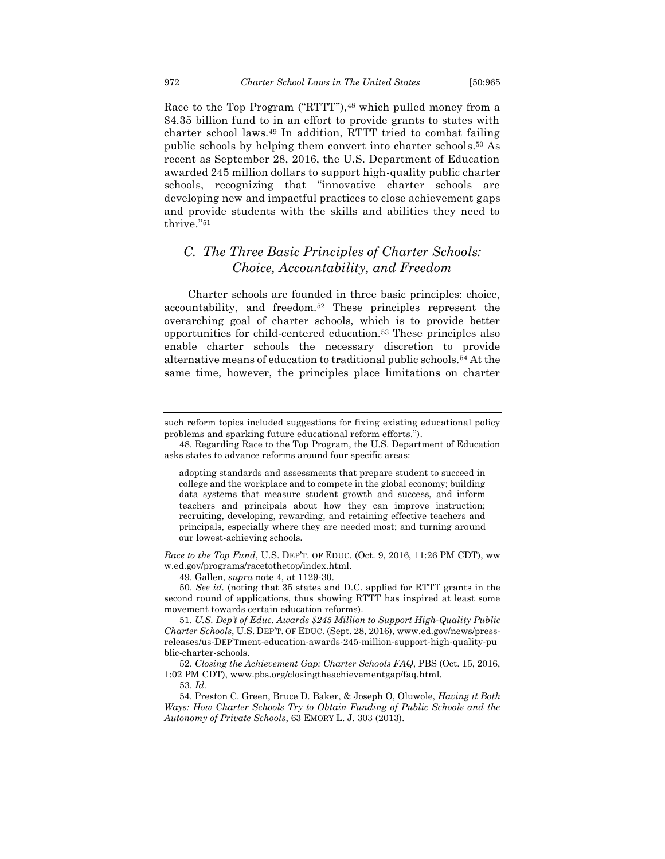Race to the Top Program ("RTTT"),<sup>48</sup> which pulled money from a \$4.35 billion fund to in an effort to provide grants to states with charter school laws.<sup>49</sup> In addition, RTTT tried to combat failing public schools by helping them convert into charter schools.<sup>50</sup> As recent as September 28, 2016, the U.S. Department of Education awarded 245 million dollars to support high-quality public charter schools, recognizing that "innovative charter schools are developing new and impactful practices to close achievement gaps and provide students with the skills and abilities they need to thrive."<sup>51</sup>

## <span id="page-8-0"></span>*C. The Three Basic Principles of Charter Schools: Choice, Accountability, and Freedom*

Charter schools are founded in three basic principles: choice, accountability, and freedom.<sup>52</sup> These principles represent the overarching goal of charter schools, which is to provide better opportunities for child-centered education.<sup>53</sup> These principles also enable charter schools the necessary discretion to provide alternative means of education to traditional public schools.<sup>54</sup> At the same time, however, the principles place limitations on charter

*Race to the Top Fund*, U.S. DEP'T. OF EDUC. (Oct. 9, 2016, 11:26 PM CDT), ww w.ed.gov/programs/racetothetop/index.html.

49. Gallen, *supra* note 4, at 1129-30.

50. *See id.* (noting that 35 states and D.C. applied for RTTT grants in the second round of applications, thus showing RTTT has inspired at least some movement towards certain education reforms).

51. *U.S. Dep't of Educ. Awards \$245 Million to Support High-Quality Public Charter Schools*, U.S. DEP'T. OF EDUC. (Sept. 28, 2016), www.ed.gov/news/pressreleases/us-DEP'Tment-education-awards-245-million-support-high-quality-pu blic-charter-schools.

52. *Closing the Achievement Gap: Charter Schools FAQ*, PBS (Oct. 15, 2016, 1:02 PM CDT), www.pbs.org/closingtheachievementgap/faq.html.

53. *Id.*

54. Preston C. Green, Bruce D. Baker, & Joseph O, Oluwole, *Having it Both Ways: How Charter Schools Try to Obtain Funding of Public Schools and the Autonomy of Private Schools*, 63 EMORY L. J. 303 (2013).

such reform topics included suggestions for fixing existing educational policy problems and sparking future educational reform efforts.").

<sup>48.</sup> Regarding Race to the Top Program, the U.S. Department of Education asks states to advance reforms around four specific areas:

adopting standards and assessments that prepare student to succeed in college and the workplace and to compete in the global economy; building data systems that measure student growth and success, and inform teachers and principals about how they can improve instruction; recruiting, developing, rewarding, and retaining effective teachers and principals, especially where they are needed most; and turning around our lowest-achieving schools.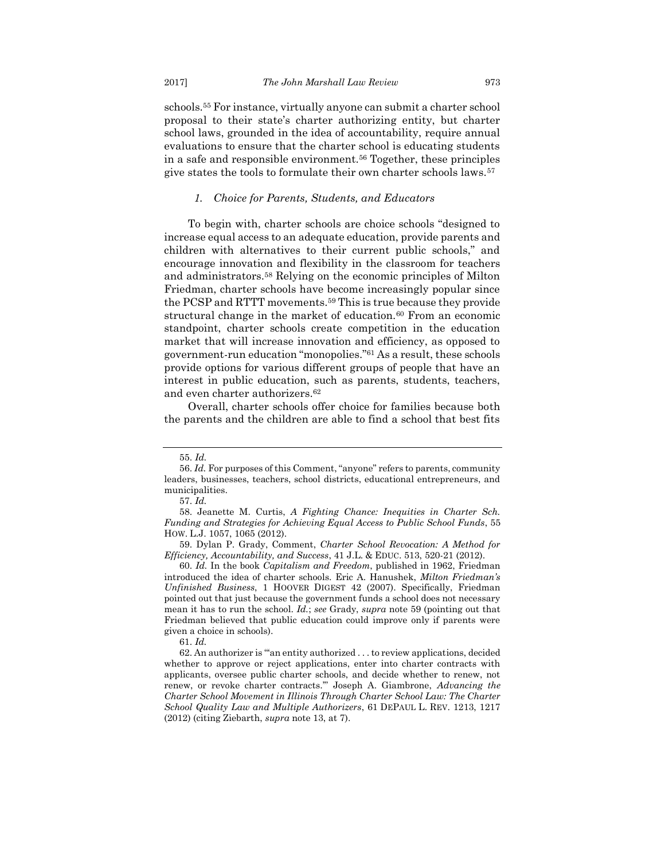schools.<sup>55</sup> For instance, virtually anyone can submit a charter school proposal to their state's charter authorizing entity, but charter school laws, grounded in the idea of accountability, require annual evaluations to ensure that the charter school is educating students in a safe and responsible environment.<sup>56</sup> Together, these principles give states the tools to formulate their own charter schools laws.<sup>57</sup>

#### *1. Choice for Parents, Students, and Educators*

<span id="page-9-0"></span>To begin with, charter schools are choice schools "designed to increase equal access to an adequate education, provide parents and children with alternatives to their current public schools," and encourage innovation and flexibility in the classroom for teachers and administrators.<sup>58</sup> Relying on the economic principles of Milton Friedman, charter schools have become increasingly popular since the PCSP and RTTT movements.<sup>59</sup> This is true because they provide structural change in the market of education.<sup>60</sup> From an economic standpoint, charter schools create competition in the education market that will increase innovation and efficiency, as opposed to government-run education "monopolies."<sup>61</sup> As a result, these schools provide options for various different groups of people that have an interest in public education, such as parents, students, teachers, and even charter authorizers.<sup>62</sup>

Overall, charter schools offer choice for families because both the parents and the children are able to find a school that best fits

<sup>55.</sup> *Id.*

<sup>56.</sup> *Id.* For purposes of this Comment, "anyone" refers to parents, community leaders, businesses, teachers, school districts, educational entrepreneurs, and municipalities.

<sup>57.</sup> *Id.*

<sup>58.</sup> Jeanette M. Curtis, *A Fighting Chance: Inequities in Charter Sch. Funding and Strategies for Achieving Equal Access to Public School Funds*, 55 HOW. L.J. 1057, 1065 (2012).

<sup>59.</sup> Dylan P. Grady, Comment, *Charter School Revocation: A Method for Efficiency, Accountability, and Success*, 41 J.L. & EDUC. 513, 520-21 (2012).

<sup>60.</sup> *Id.* In the book *Capitalism and Freedom*, published in 1962, Friedman introduced the idea of charter schools. Eric A. Hanushek, *Milton Friedman's Unfinished Business*, 1 HOOVER DIGEST 42 (2007). Specifically, Friedman pointed out that just because the government funds a school does not necessary mean it has to run the school. *Id.*; *see* Grady, *supra* note 59 (pointing out that Friedman believed that public education could improve only if parents were given a choice in schools).

<sup>61.</sup> *Id.*

<sup>62.</sup> An authorizer is "'an entity authorized . . . to review applications, decided whether to approve or reject applications, enter into charter contracts with applicants, oversee public charter schools, and decide whether to renew, not renew, or revoke charter contracts.'" Joseph A. Giambrone, *Advancing the Charter School Movement in Illinois Through Charter School Law: The Charter School Quality Law and Multiple Authorizers*, 61 DEPAUL L. REV. 1213, 1217 (2012) (citing Ziebarth, *supra* note 13, at 7).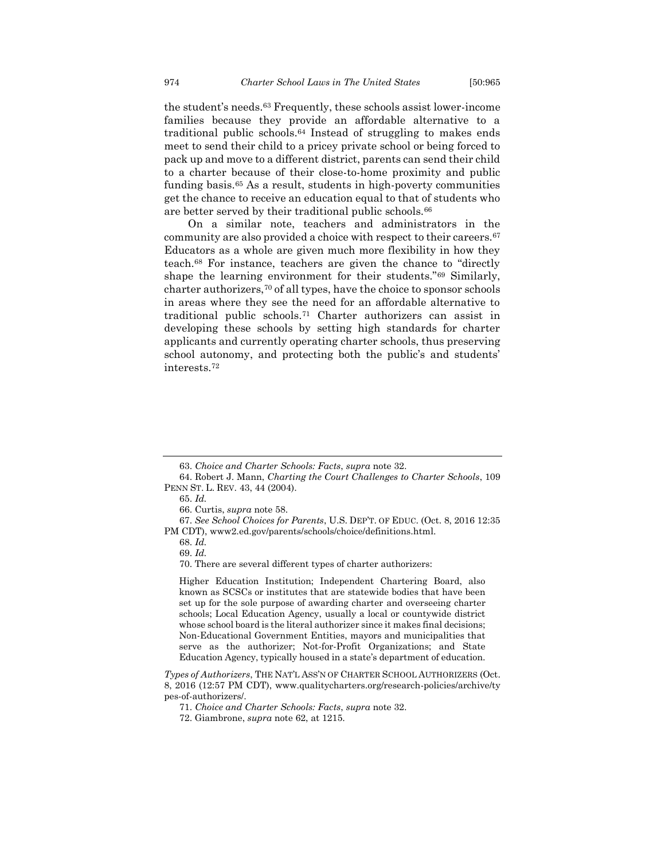the student's needs.<sup>63</sup> Frequently, these schools assist lower-income families because they provide an affordable alternative to a traditional public schools.<sup>64</sup> Instead of struggling to makes ends meet to send their child to a pricey private school or being forced to pack up and move to a different district, parents can send their child to a charter because of their close-to-home proximity and public funding basis.<sup>65</sup> As a result, students in high-poverty communities get the chance to receive an education equal to that of students who are better served by their traditional public schools.<sup>66</sup>

On a similar note, teachers and administrators in the community are also provided a choice with respect to their careers.<sup>67</sup> Educators as a whole are given much more flexibility in how they teach.<sup>68</sup> For instance, teachers are given the chance to "directly shape the learning environment for their students."<sup>69</sup> Similarly, charter authorizers,<sup>70</sup> of all types, have the choice to sponsor schools in areas where they see the need for an affordable alternative to traditional public schools.<sup>71</sup> Charter authorizers can assist in developing these schools by setting high standards for charter applicants and currently operating charter schools, thus preserving school autonomy, and protecting both the public's and students' interests.<sup>72</sup>

Higher Education Institution; Independent Chartering Board, also known as SCSCs or institutes that are statewide bodies that have been set up for the sole purpose of awarding charter and overseeing charter schools; Local Education Agency, usually a local or countywide district whose school board is the literal authorizer since it makes final decisions; Non-Educational Government Entities, mayors and municipalities that serve as the authorizer; Not-for-Profit Organizations; and State Education Agency, typically housed in a state's department of education.

*Types of Authorizers*, THE NAT'L ASS'N OF CHARTER SCHOOL AUTHORIZERS (Oct. 8, 2016 (12:57 PM CDT), www.qualitycharters.org/research-policies/archive/ty pes-of-authorizers/.

<sup>63.</sup> *Choice and Charter Schools: Facts*, *supra* note 32.

<sup>64.</sup> Robert J. Mann, *Charting the Court Challenges to Charter Schools*, 109 PENN ST. L. REV. 43, 44 (2004).

<sup>65.</sup> *Id.*

<sup>66.</sup> Curtis, *supra* note 58.

<sup>67.</sup> *See School Choices for Parents*, U.S. DEP'T. OF EDUC. (Oct. 8, 2016 12:35 PM CDT), www2.ed.gov/parents/schools/choice/definitions.html.

<sup>68.</sup> *Id.*

<sup>69.</sup> *Id.*

<sup>70.</sup> There are several different types of charter authorizers:

<sup>71.</sup> *Choice and Charter Schools: Facts*, *supra* note 32.

<sup>72.</sup> Giambrone, *supra* note 62, at 1215.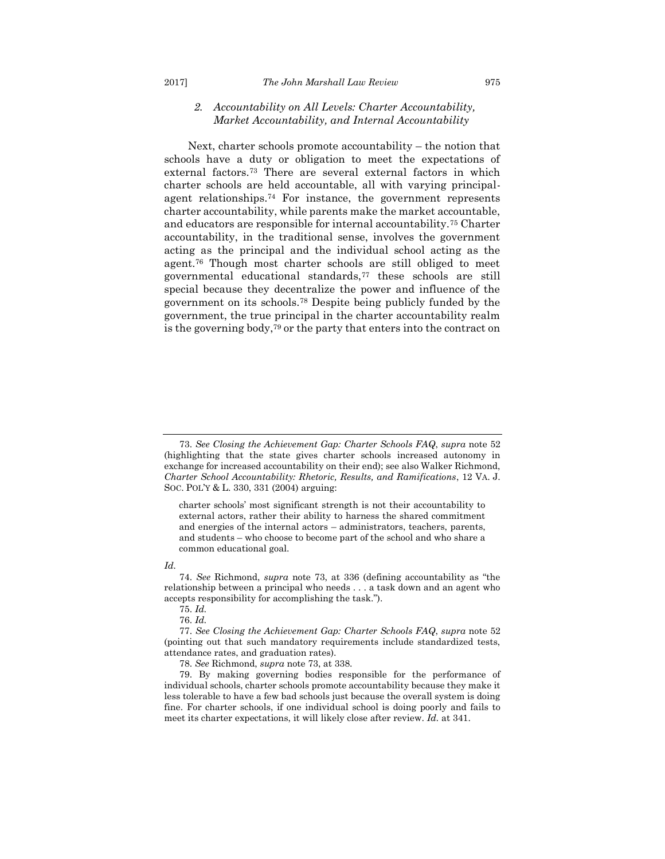#### <span id="page-11-0"></span>*2. Accountability on All Levels: Charter Accountability, Market Accountability, and Internal Accountability*

Next, charter schools promote accountability – the notion that schools have a duty or obligation to meet the expectations of external factors.<sup>73</sup> There are several external factors in which charter schools are held accountable, all with varying principalagent relationships.<sup>74</sup> For instance, the government represents charter accountability, while parents make the market accountable, and educators are responsible for internal accountability.<sup>75</sup> Charter accountability, in the traditional sense, involves the government acting as the principal and the individual school acting as the agent.<sup>76</sup> Though most charter schools are still obliged to meet governmental educational standards,<sup>77</sup> these schools are still special because they decentralize the power and influence of the government on its schools.<sup>78</sup> Despite being publicly funded by the government, the true principal in the charter accountability realm is the governing body,<sup>79</sup> or the party that enters into the contract on

charter schools' most significant strength is not their accountability to external actors, rather their ability to harness the shared commitment and energies of the internal actors – administrators, teachers, parents, and students – who choose to become part of the school and who share a common educational goal.

#### *Id.*

<sup>73.</sup> *See Closing the Achievement Gap: Charter Schools FAQ*, *supra* note 52 (highlighting that the state gives charter schools increased autonomy in exchange for increased accountability on their end); see also Walker Richmond, *Charter School Accountability: Rhetoric, Results, and Ramifications*, 12 VA. J. SOC. POL'Y & L. 330, 331 (2004) arguing:

<sup>74.</sup> *See* Richmond, *supra* note 73, at 336 (defining accountability as "the relationship between a principal who needs . . . a task down and an agent who accepts responsibility for accomplishing the task.").

<sup>75.</sup> *Id.*

<sup>76.</sup> *Id.*

<sup>77.</sup> *See Closing the Achievement Gap: Charter Schools FAQ*, *supra* note 52 (pointing out that such mandatory requirements include standardized tests, attendance rates, and graduation rates).

<sup>78.</sup> *See* Richmond, *supra* note 73, at 338.

<sup>79.</sup> By making governing bodies responsible for the performance of individual schools, charter schools promote accountability because they make it less tolerable to have a few bad schools just because the overall system is doing fine. For charter schools, if one individual school is doing poorly and fails to meet its charter expectations, it will likely close after review. *Id.* at 341.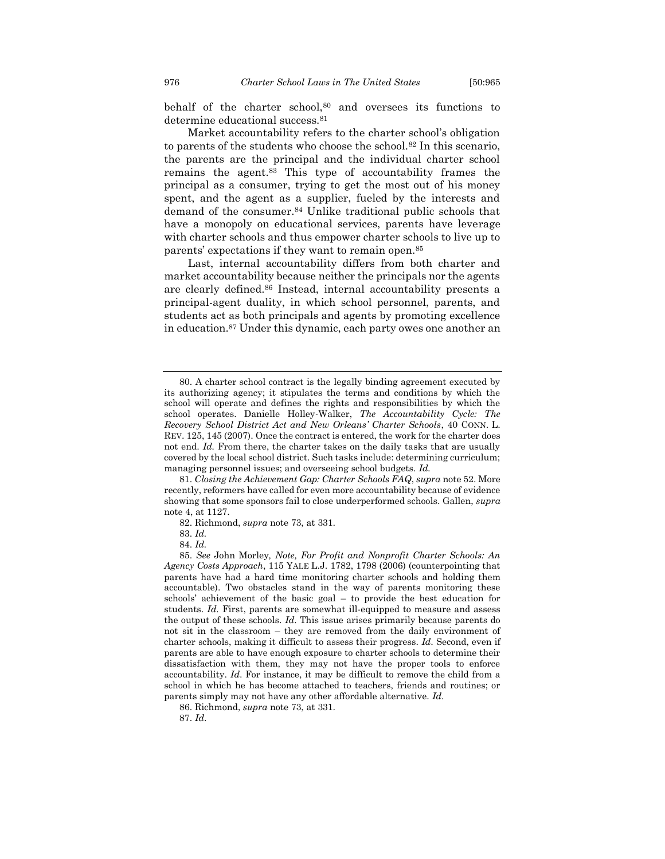behalf of the charter school,<sup>80</sup> and oversees its functions to determine educational success.<sup>81</sup>

Market accountability refers to the charter school's obligation to parents of the students who choose the school.<sup>82</sup> In this scenario, the parents are the principal and the individual charter school remains the agent.<sup>83</sup> This type of accountability frames the principal as a consumer, trying to get the most out of his money spent, and the agent as a supplier, fueled by the interests and demand of the consumer.<sup>84</sup> Unlike traditional public schools that have a monopoly on educational services, parents have leverage with charter schools and thus empower charter schools to live up to parents' expectations if they want to remain open.<sup>85</sup>

Last, internal accountability differs from both charter and market accountability because neither the principals nor the agents are clearly defined.<sup>86</sup> Instead, internal accountability presents a principal-agent duality, in which school personnel, parents, and students act as both principals and agents by promoting excellence in education.<sup>87</sup> Under this dynamic, each party owes one another an

81. *Closing the Achievement Gap: Charter Schools FAQ*, *supra* note 52. More recently, reformers have called for even more accountability because of evidence showing that some sponsors fail to close underperformed schools. Gallen, *supra*  note 4, at 1127.

84. *Id.*

<sup>80.</sup> A charter school contract is the legally binding agreement executed by its authorizing agency; it stipulates the terms and conditions by which the school will operate and defines the rights and responsibilities by which the school operates. Danielle Holley-Walker, *The Accountability Cycle: The Recovery School District Act and New Orleans' Charter Schools*, 40 CONN. L. REV. 125, 145 (2007). Once the contract is entered, the work for the charter does not end. *Id.* From there, the charter takes on the daily tasks that are usually covered by the local school district. Such tasks include: determining curriculum; managing personnel issues; and overseeing school budgets. *Id.*

<sup>82.</sup> Richmond, *supra* note 73, at 331.

<sup>83.</sup> *Id.*

<sup>85.</sup> *See* John Morley*, Note, For Profit and Nonprofit Charter Schools: An Agency Costs Approach*, 115 YALE L.J. 1782, 1798 (2006) (counterpointing that parents have had a hard time monitoring charter schools and holding them accountable). Two obstacles stand in the way of parents monitoring these schools' achievement of the basic goal – to provide the best education for students. *Id.* First, parents are somewhat ill-equipped to measure and assess the output of these schools. *Id.* This issue arises primarily because parents do not sit in the classroom – they are removed from the daily environment of charter schools, making it difficult to assess their progress. *Id*. Second, even if parents are able to have enough exposure to charter schools to determine their dissatisfaction with them, they may not have the proper tools to enforce accountability. *Id*. For instance, it may be difficult to remove the child from a school in which he has become attached to teachers, friends and routines; or parents simply may not have any other affordable alternative. *Id*.

<sup>86.</sup> Richmond, *supra* note 73, at 331.

<sup>87.</sup> *Id*.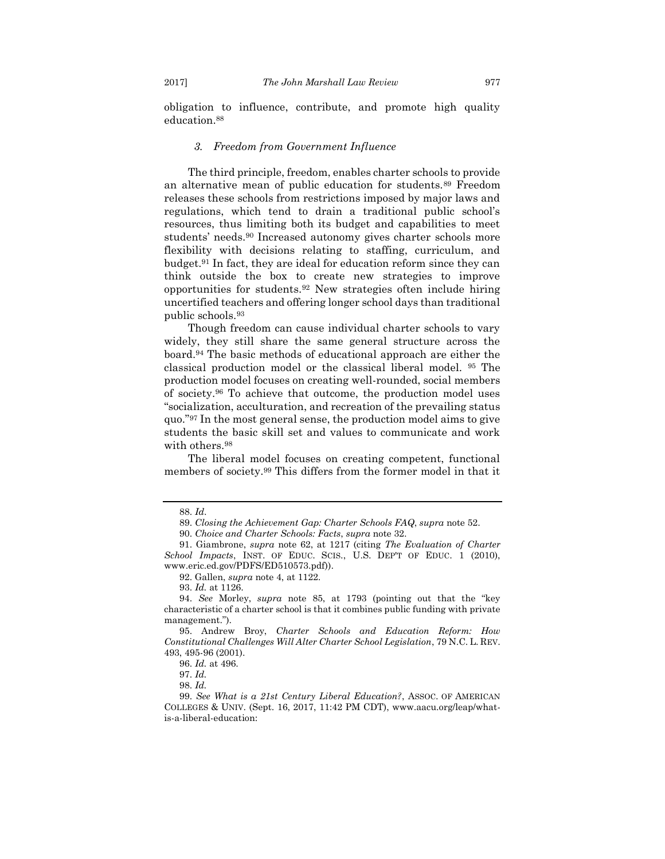obligation to influence, contribute, and promote high quality education.<sup>88</sup>

#### *3. Freedom from Government Influence*

<span id="page-13-0"></span>The third principle, freedom, enables charter schools to provide an alternative mean of public education for students.<sup>89</sup> Freedom releases these schools from restrictions imposed by major laws and regulations, which tend to drain a traditional public school's resources, thus limiting both its budget and capabilities to meet students' needs.<sup>90</sup> Increased autonomy gives charter schools more flexibility with decisions relating to staffing, curriculum, and budget.<sup>91</sup> In fact, they are ideal for education reform since they can think outside the box to create new strategies to improve opportunities for students.<sup>92</sup> New strategies often include hiring uncertified teachers and offering longer school days than traditional public schools.<sup>93</sup>

Though freedom can cause individual charter schools to vary widely, they still share the same general structure across the board.<sup>94</sup> The basic methods of educational approach are either the classical production model or the classical liberal model. <sup>95</sup> The production model focuses on creating well-rounded, social members of society.<sup>96</sup> To achieve that outcome, the production model uses "socialization, acculturation, and recreation of the prevailing status quo."<sup>97</sup> In the most general sense, the production model aims to give students the basic skill set and values to communicate and work with others.<sup>98</sup>

The liberal model focuses on creating competent, functional members of society.<sup>99</sup> This differs from the former model in that it

<sup>88.</sup> *Id*.

<sup>89.</sup> *Closing the Achievement Gap: Charter Schools FAQ*, *supra* note 52.

<sup>90.</sup> *Choice and Charter Schools: Facts*, *supra* note 32.

<sup>91.</sup> Giambrone, *supra* note 62, at 1217 (citing *The Evaluation of Charter School Impacts*, INST. OF EDUC. SCIS., U.S. DEP'T OF EDUC. 1 (2010), www.eric.ed.gov/PDFS/ED510573.pdf)).

<sup>92.</sup> Gallen, *supra* note 4, at 1122.

<sup>93.</sup> *Id.* at 1126.

<sup>94.</sup> *See* Morley, *supra* note 85, at 1793 (pointing out that the "key characteristic of a charter school is that it combines public funding with private management.").

<sup>95.</sup> Andrew Broy, *Charter Schools and Education Reform: How Constitutional Challenges Will Alter Charter School Legislation*, 79 N.C. L. REV. 493, 495-96 (2001).

<sup>96.</sup> *Id.* at 496.

<sup>97.</sup> *Id.*

<sup>98.</sup> *Id.*

<sup>99.</sup> *See What is a 21st Century Liberal Education?*, ASSOC. OF AMERICAN COLLEGES & UNIV. (Sept. 16, 2017, 11:42 PM CDT), www.aacu.org/leap/whatis-a-liberal-education: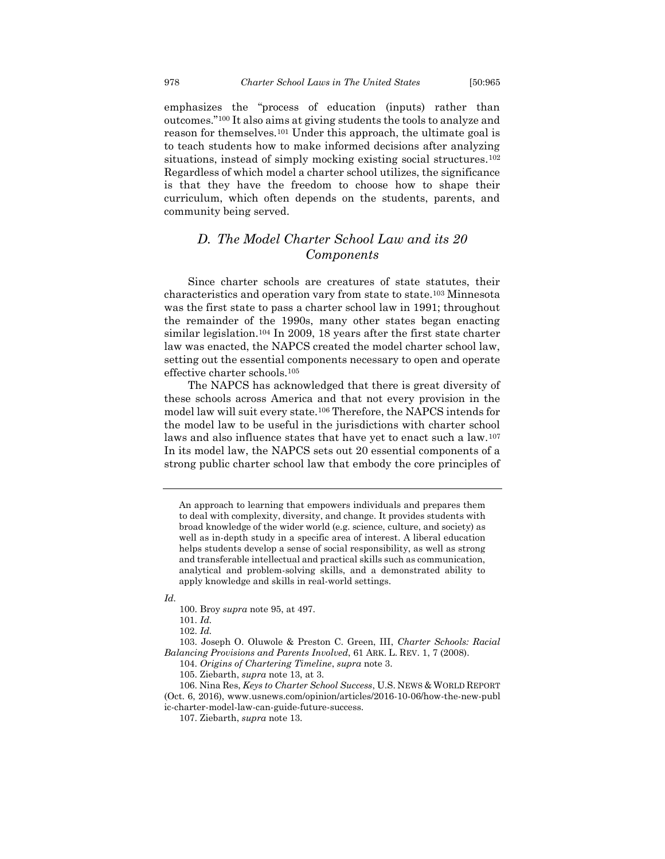emphasizes the "process of education (inputs) rather than outcomes."<sup>100</sup> It also aims at giving students the tools to analyze and reason for themselves.<sup>101</sup> Under this approach, the ultimate goal is to teach students how to make informed decisions after analyzing situations, instead of simply mocking existing social structures.<sup>102</sup> Regardless of which model a charter school utilizes, the significance is that they have the freedom to choose how to shape their curriculum, which often depends on the students, parents, and community being served.

## <span id="page-14-0"></span>*D. The Model Charter School Law and its 20 Components*

Since charter schools are creatures of state statutes, their characteristics and operation vary from state to state.<sup>103</sup> Minnesota was the first state to pass a charter school law in 1991; throughout the remainder of the 1990s, many other states began enacting similar legislation.<sup>104</sup> In 2009, 18 years after the first state charter law was enacted, the NAPCS created the model charter school law, setting out the essential components necessary to open and operate effective charter schools.<sup>105</sup>

The NAPCS has acknowledged that there is great diversity of these schools across America and that not every provision in the model law will suit every state.<sup>106</sup> Therefore, the NAPCS intends for the model law to be useful in the jurisdictions with charter school laws and also influence states that have yet to enact such a law.<sup>107</sup> In its model law, the NAPCS sets out 20 essential components of a strong public charter school law that embody the core principles of

*Id.*

100. Broy *supra* note 95, at 497.

101. *Id.* 

102. *Id.*

103. Joseph O. Oluwole & Preston C. Green, III, *Charter Schools: Racial Balancing Provisions and Parents Involved*, 61 ARK. L. REV. 1, 7 (2008).

104. *Origins of Chartering Timeline*, *supra* note 3.

An approach to learning that empowers individuals and prepares them to deal with complexity, diversity, and change. It provides students with broad knowledge of the wider world (e.g. science, culture, and society) as well as in-depth study in a specific area of interest. A liberal education helps students develop a sense of social responsibility, as well as strong and transferable intellectual and practical skills such as communication, analytical and problem-solving skills, and a demonstrated ability to apply knowledge and skills in real-world settings.

<sup>105.</sup> Ziebarth, *supra* note 13, at 3.

<sup>106.</sup> Nina Res, *Keys to Charter School Success*, U.S. NEWS & WORLD REPORT (Oct. 6, 2016), www.usnews.com/opinion/articles/2016-10-06/how-the-new-publ ic-charter-model-law-can-guide-future-success.

<sup>107.</sup> Ziebarth, *supra* note 13.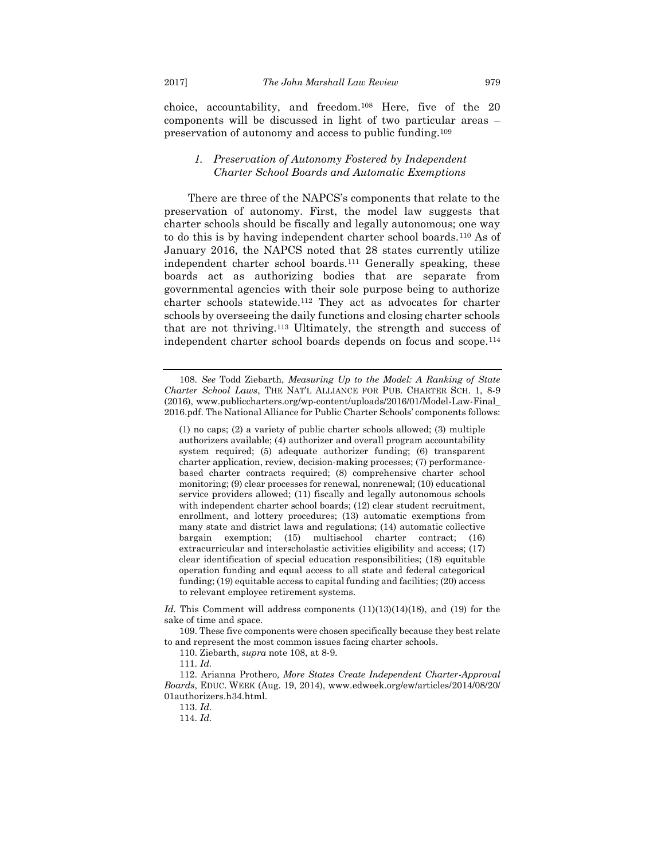choice, accountability, and freedom.<sup>108</sup> Here, five of the 20 components will be discussed in light of two particular areas – preservation of autonomy and access to public funding.<sup>109</sup>

### <span id="page-15-0"></span>*1. Preservation of Autonomy Fostered by Independent Charter School Boards and Automatic Exemptions*

There are three of the NAPCS's components that relate to the preservation of autonomy. First, the model law suggests that charter schools should be fiscally and legally autonomous; one way to do this is by having independent charter school boards.<sup>110</sup> As of January 2016, the NAPCS noted that 28 states currently utilize independent charter school boards.<sup>111</sup> Generally speaking, these boards act as authorizing bodies that are separate from governmental agencies with their sole purpose being to authorize charter schools statewide.<sup>112</sup> They act as advocates for charter schools by overseeing the daily functions and closing charter schools that are not thriving.<sup>113</sup> Ultimately, the strength and success of independent charter school boards depends on focus and scope.<sup>114</sup>

(1) no caps; (2) a variety of public charter schools allowed; (3) multiple authorizers available; (4) authorizer and overall program accountability system required; (5) adequate authorizer funding; (6) transparent charter application, review, decision-making processes; (7) performancebased charter contracts required; (8) comprehensive charter school monitoring; (9) clear processes for renewal, nonrenewal; (10) educational service providers allowed; (11) fiscally and legally autonomous schools with independent charter school boards; (12) clear student recruitment, enrollment, and lottery procedures; (13) automatic exemptions from many state and district laws and regulations; (14) automatic collective bargain exemption; (15) multischool charter contract; (16) extracurricular and interscholastic activities eligibility and access; (17) clear identification of special education responsibilities; (18) equitable operation funding and equal access to all state and federal categorical funding; (19) equitable access to capital funding and facilities; (20) access to relevant employee retirement systems.

Id. This Comment will address components  $(11)(13)(14)(18)$ , and  $(19)$  for the sake of time and space.

109. These five components were chosen specifically because they best relate to and represent the most common issues facing charter schools.

110. Ziebarth, *supra* note 108, at 8-9.

112. Arianna Prothero*, More States Create Independent Charter-Approval Boards*, EDUC. WEEK (Aug. 19, 2014), www.edweek.org/ew/articles/2014/08/20/ 01authorizers.h34.html.

113. *Id.*

114. *Id.*

<sup>108.</sup> *See* Todd Ziebarth, *Measuring Up to the Model: A Ranking of State Charter School Laws*, THE NAT'L ALLIANCE FOR PUB. CHARTER SCH. 1, 8-9 (2016), www.publiccharters.org/wp-content/uploads/2016/01/Model-Law-Final\_ 2016.pdf. The National Alliance for Public Charter Schools' components follows:

<sup>111.</sup> *Id.*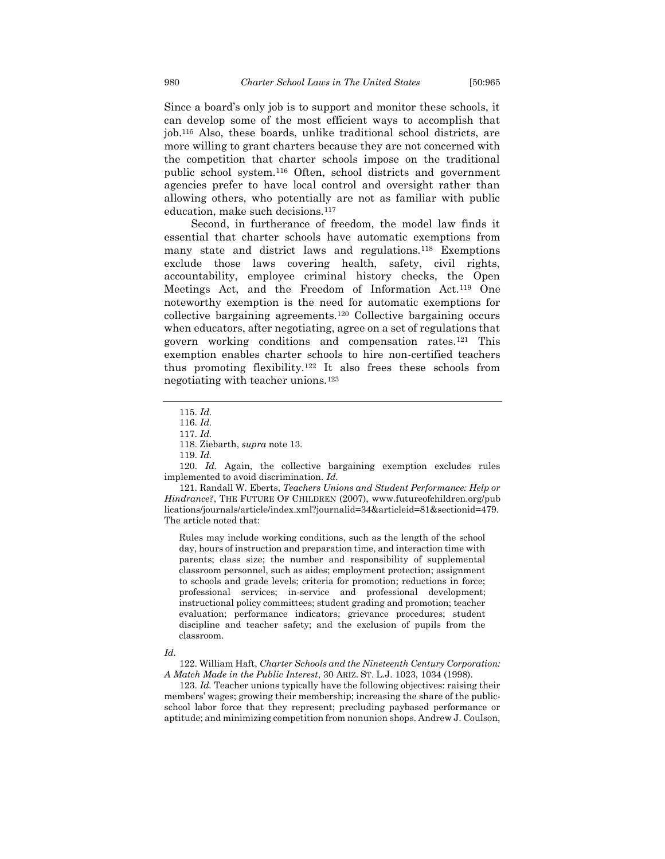Since a board's only job is to support and monitor these schools, it can develop some of the most efficient ways to accomplish that job.<sup>115</sup> Also, these boards, unlike traditional school districts, are more willing to grant charters because they are not concerned with the competition that charter schools impose on the traditional public school system.<sup>116</sup> Often, school districts and government agencies prefer to have local control and oversight rather than allowing others, who potentially are not as familiar with public education, make such decisions.<sup>117</sup>

Second, in furtherance of freedom, the model law finds it essential that charter schools have automatic exemptions from many state and district laws and regulations.<sup>118</sup> Exemptions exclude those laws covering health, safety, civil rights, accountability, employee criminal history checks, the Open Meetings Act, and the Freedom of Information Act.<sup>119</sup> One noteworthy exemption is the need for automatic exemptions for collective bargaining agreements.<sup>120</sup> Collective bargaining occurs when educators, after negotiating, agree on a set of regulations that govern working conditions and compensation rates.<sup>121</sup> This exemption enables charter schools to hire non-certified teachers thus promoting flexibility.<sup>122</sup> It also frees these schools from negotiating with teacher unions.<sup>123</sup>

120. *Id.* Again, the collective bargaining exemption excludes rules implemented to avoid discrimination. *Id.*

121. Randall W. Eberts, *Teachers Unions and Student Performance: Help or Hindrance?*, THE FUTURE OF CHILDREN (2007), www.futureofchildren.org/pub lications/journals/article/index.xml?journalid=34&articleid=81&sectionid=479. The article noted that:

Rules may include working conditions, such as the length of the school day, hours of instruction and preparation time, and interaction time with parents; class size; the number and responsibility of supplemental classroom personnel, such as aides; employment protection; assignment to schools and grade levels; criteria for promotion; reductions in force; professional services; in-service and professional development; instructional policy committees; student grading and promotion; teacher evaluation; performance indicators; grievance procedures; student discipline and teacher safety; and the exclusion of pupils from the classroom.

#### *Id.*

122. William Haft, *Charter Schools and the Nineteenth Century Corporation: A Match Made in the Public Interest*, 30 ARIZ. ST. L.J. 1023, 1034 (1998).

123. *Id.* Teacher unions typically have the following objectives: raising their members' wages; growing their membership; increasing the share of the publicschool labor force that they represent; precluding paybased performance or aptitude; and minimizing competition from nonunion shops. Andrew J. Coulson,

<sup>115.</sup> *Id.* 

<sup>116.</sup> *Id.*

<sup>117.</sup> *Id.*

<sup>118.</sup> Ziebarth, *supra* note 13.

<sup>119.</sup> *Id.*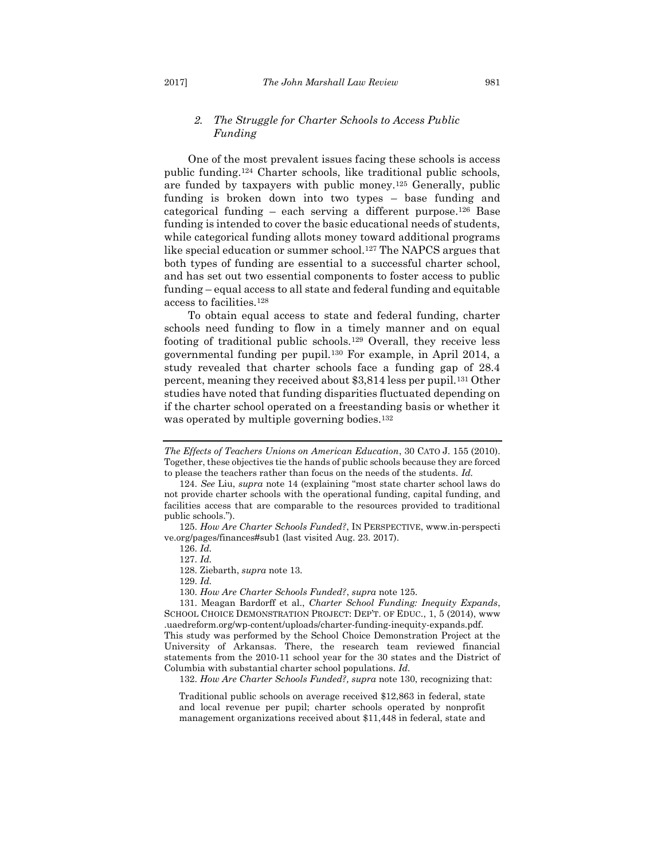### <span id="page-17-0"></span>*2. The Struggle for Charter Schools to Access Public Funding*

One of the most prevalent issues facing these schools is access public funding.<sup>124</sup> Charter schools, like traditional public schools, are funded by taxpayers with public money.<sup>125</sup> Generally, public funding is broken down into two types – base funding and categorical funding – each serving a different purpose.<sup>126</sup> Base funding is intended to cover the basic educational needs of students, while categorical funding allots money toward additional programs like special education or summer school.<sup>127</sup> The NAPCS argues that both types of funding are essential to a successful charter school, and has set out two essential components to foster access to public funding – equal access to all state and federal funding and equitable access to facilities.<sup>128</sup>

To obtain equal access to state and federal funding, charter schools need funding to flow in a timely manner and on equal footing of traditional public schools.<sup>129</sup> Overall, they receive less governmental funding per pupil.<sup>130</sup> For example, in April 2014, a study revealed that charter schools face a funding gap of 28.4 percent, meaning they received about \$3,814 less per pupil.<sup>131</sup> Other studies have noted that funding disparities fluctuated depending on if the charter school operated on a freestanding basis or whether it was operated by multiple governing bodies.<sup>132</sup>

125. *How Are Charter Schools Funded?*, IN PERSPECTIVE, www.in-perspecti ve.org/pages/finances#sub1 (last visited Aug. 23. 2017).

126. *Id.* 

127. *Id.*

128. Ziebarth, *supra* note 13.

129. *Id.*

130. *How Are Charter Schools Funded?*, *supra* note 125.

132. *How Are Charter Schools Funded?, supra* note 130, recognizing that:

Traditional public schools on average received \$12,863 in federal, state and local revenue per pupil; charter schools operated by nonprofit management organizations received about \$11,448 in federal, state and

*The Effects of Teachers Unions on American Education*, 30 CATO J. 155 (2010). Together, these objectives tie the hands of public schools because they are forced to please the teachers rather than focus on the needs of the students. *Id.* 

<sup>124.</sup> *See* Liu, *supra* note 14 (explaining "most state charter school laws do not provide charter schools with the operational funding, capital funding, and facilities access that are comparable to the resources provided to traditional public schools.").

<sup>131.</sup> Meagan Bardorff et al., *Charter School Funding: Inequity Expands*, SCHOOL CHOICE DEMONSTRATION PROJECT: DEP'T. OF EDUC., 1, 5 (2014), www .uaedreform.org/wp-content/uploads/charter-funding-inequity-expands.pdf. This study was performed by the School Choice Demonstration Project at the

University of Arkansas. There, the research team reviewed financial statements from the 2010-11 school year for the 30 states and the District of Columbia with substantial charter school populations. *Id.*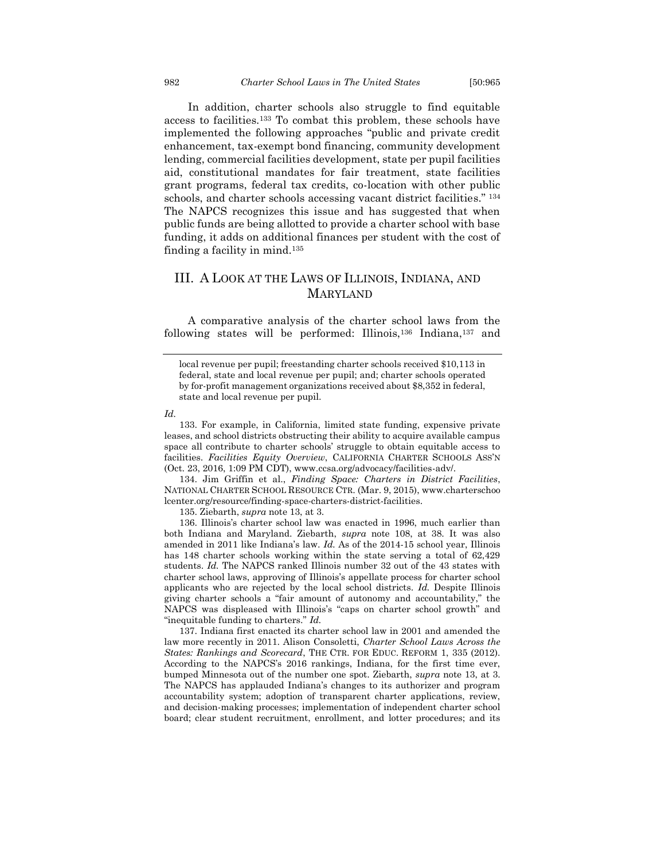In addition, charter schools also struggle to find equitable access to facilities.<sup>133</sup> To combat this problem, these schools have implemented the following approaches "public and private credit enhancement, tax-exempt bond financing, community development lending, commercial facilities development, state per pupil facilities aid, constitutional mandates for fair treatment, state facilities grant programs, federal tax credits, co-location with other public schools, and charter schools accessing vacant district facilities." <sup>134</sup> The NAPCS recognizes this issue and has suggested that when public funds are being allotted to provide a charter school with base funding, it adds on additional finances per student with the cost of finding a facility in mind.<sup>135</sup>

## <span id="page-18-0"></span>III. A LOOK AT THE LAWS OF ILLINOIS, INDIANA, AND MARYLAND

A comparative analysis of the charter school laws from the following states will be performed: Illinois,<sup>136</sup> Indiana,<sup>137</sup> and

#### *Id.*

133. For example, in California, limited state funding, expensive private leases, and school districts obstructing their ability to acquire available campus space all contribute to charter schools' struggle to obtain equitable access to facilities. *Facilities Equity Overview*, CALIFORNIA CHARTER SCHOOLS ASS'N (Oct. 23, 2016, 1:09 PM CDT), www.ccsa.org/advocacy/facilities-adv/.

134. Jim Griffin et al., *Finding Space: Charters in District Facilities*, NATIONAL CHARTER SCHOOL RESOURCE CTR. (Mar. 9, 2015), www.charterschoo lcenter.org/resource/finding-space-charters-district-facilities.

135. Ziebarth, *supra* note 13, at 3.

136. Illinois's charter school law was enacted in 1996, much earlier than both Indiana and Maryland. Ziebarth, *supra* note 108, at 38. It was also amended in 2011 like Indiana's law. *Id.* As of the 2014-15 school year, Illinois has 148 charter schools working within the state serving a total of 62,429 students. *Id.* The NAPCS ranked Illinois number 32 out of the 43 states with charter school laws, approving of Illinois's appellate process for charter school applicants who are rejected by the local school districts. *Id.* Despite Illinois giving charter schools a "fair amount of autonomy and accountability," the NAPCS was displeased with Illinois's "caps on charter school growth" and "inequitable funding to charters." *Id.*

137. Indiana first enacted its charter school law in 2001 and amended the law more recently in 2011. Alison Consoletti, *Charter School Laws Across the States: Rankings and Scorecard*, THE CTR. FOR EDUC. REFORM 1, 335 (2012). According to the NAPCS's 2016 rankings, Indiana, for the first time ever, bumped Minnesota out of the number one spot. Ziebarth, *supra* note 13, at 3. The NAPCS has applauded Indiana's changes to its authorizer and program accountability system; adoption of transparent charter applications, review, and decision-making processes; implementation of independent charter school board; clear student recruitment, enrollment, and lotter procedures; and its

local revenue per pupil; freestanding charter schools received \$10,113 in federal, state and local revenue per pupil; and; charter schools operated by for-profit management organizations received about \$8,352 in federal, state and local revenue per pupil.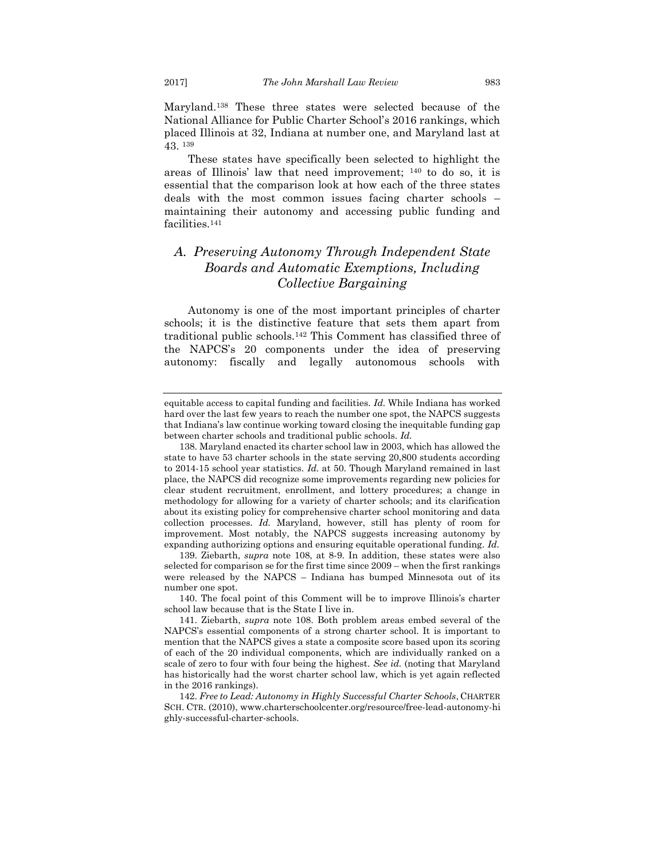Maryland.<sup>138</sup> These three states were selected because of the National Alliance for Public Charter School's 2016 rankings, which placed Illinois at 32, Indiana at number one, and Maryland last at 43. <sup>139</sup>

These states have specifically been selected to highlight the areas of Illinois' law that need improvement; <sup>140</sup> to do so, it is essential that the comparison look at how each of the three states deals with the most common issues facing charter schools – maintaining their autonomy and accessing public funding and facilities.<sup>141</sup>

## <span id="page-19-0"></span>*A. Preserving Autonomy Through Independent State Boards and Automatic Exemptions, Including Collective Bargaining*

Autonomy is one of the most important principles of charter schools; it is the distinctive feature that sets them apart from traditional public schools.<sup>142</sup> This Comment has classified three of the NAPCS's 20 components under the idea of preserving autonomy: fiscally and legally autonomous schools with

139. Ziebarth, *supra* note 108, at 8-9. In addition, these states were also selected for comparison se for the first time since 2009 – when the first rankings were released by the NAPCS – Indiana has bumped Minnesota out of its number one spot.

140. The focal point of this Comment will be to improve Illinois's charter school law because that is the State I live in.

equitable access to capital funding and facilities. *Id.* While Indiana has worked hard over the last few years to reach the number one spot, the NAPCS suggests that Indiana's law continue working toward closing the inequitable funding gap between charter schools and traditional public schools. *Id.*

<sup>138.</sup> Maryland enacted its charter school law in 2003, which has allowed the state to have 53 charter schools in the state serving 20,800 students according to 2014-15 school year statistics. *Id.* at 50. Though Maryland remained in last place, the NAPCS did recognize some improvements regarding new policies for clear student recruitment, enrollment, and lottery procedures; a change in methodology for allowing for a variety of charter schools; and its clarification about its existing policy for comprehensive charter school monitoring and data collection processes. *Id.* Maryland, however, still has plenty of room for improvement. Most notably, the NAPCS suggests increasing autonomy by expanding authorizing options and ensuring equitable operational funding. *Id.* 

<sup>141.</sup> Ziebarth, *supra* note 108. Both problem areas embed several of the NAPCS's essential components of a strong charter school. It is important to mention that the NAPCS gives a state a composite score based upon its scoring of each of the 20 individual components, which are individually ranked on a scale of zero to four with four being the highest. *See id.* (noting that Maryland has historically had the worst charter school law, which is yet again reflected in the 2016 rankings).

<sup>142.</sup> *Free to Lead: Autonomy in Highly Successful Charter Schools*, CHARTER SCH. CTR. (2010), www.charterschoolcenter.org/resource/free-lead-autonomy-hi ghly-successful-charter-schools.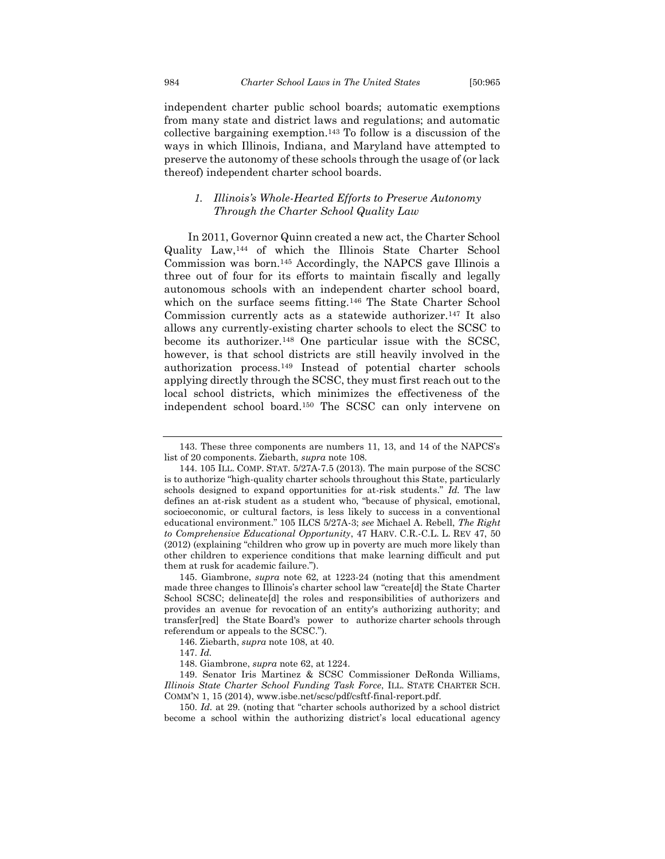independent charter public school boards; automatic exemptions from many state and district laws and regulations; and automatic collective bargaining exemption.<sup>143</sup> To follow is a discussion of the ways in which Illinois, Indiana, and Maryland have attempted to preserve the autonomy of these schools through the usage of (or lack thereof) independent charter school boards.

## <span id="page-20-0"></span>*1. Illinois's Whole-Hearted Efforts to Preserve Autonomy Through the Charter School Quality Law*

In 2011, Governor Quinn created a new act, the Charter School Quality Law,<sup>144</sup> of which the Illinois State Charter School Commission was born.<sup>145</sup> Accordingly, the NAPCS gave Illinois a three out of four for its efforts to maintain fiscally and legally autonomous schools with an independent charter school board, which on the surface seems fitting.<sup>146</sup> The State Charter School Commission currently acts as a statewide authorizer.<sup>147</sup> It also allows any currently-existing charter schools to elect the SCSC to become its authorizer.<sup>148</sup> One particular issue with the SCSC, however, is that school districts are still heavily involved in the authorization process.<sup>149</sup> Instead of potential charter schools applying directly through the SCSC, they must first reach out to the local school districts, which minimizes the effectiveness of the independent school board.<sup>150</sup> The SCSC can only intervene on

<sup>143.</sup> These three components are numbers 11, 13, and 14 of the NAPCS's list of 20 components. Ziebarth, *supra* note 108.

<sup>144.</sup> 105 ILL. COMP. STAT. 5/27A-7.5 (2013)*.* The main purpose of the SCSC is to authorize "high-quality charter schools throughout this State, particularly schools designed to expand opportunities for at-risk students." *Id.* The law defines an at-risk student as a student who, "because of physical, emotional, socioeconomic, or cultural factors, is less likely to success in a conventional educational environment." 105 ILCS 5/27A-3; *see* Michael A. Rebell, *The Right to Comprehensive Educational Opportunity*, 47 HARV. C.R.-C.L. L. REV 47, 50 (2012) (explaining "children who grow up in poverty are much more likely than other children to experience conditions that make learning difficult and put them at rusk for academic failure.").

<sup>145.</sup> Giambrone, *supra* note 62, at 1223-24 (noting that this amendment made three changes to Illinois's charter school law "create[d] the State Charter School SCSC; delineate dl the roles and responsibilities of authorizers and provides an avenue for revocation of an entity's authorizing authority; and transfer[red] the State Board's power to authorize charter schools through referendum or appeals to the SCSC.").

<sup>146.</sup> Ziebarth, *supra* note 108, at 40.

<sup>147.</sup> *Id.* 

<sup>148.</sup> Giambrone, *supra* note 62, at 1224.

<sup>149.</sup> Senator Iris Martinez & SCSC Commissioner DeRonda Williams, *Illinois State Charter School Funding Task Force*, ILL. STATE CHARTER SCH. COMM'N 1, 15 (2014), www.isbe.net/scsc/pdf/csftf-final-report.pdf.

<sup>150.</sup> *Id.* at 29. (noting that "charter schools authorized by a school district become a school within the authorizing district's local educational agency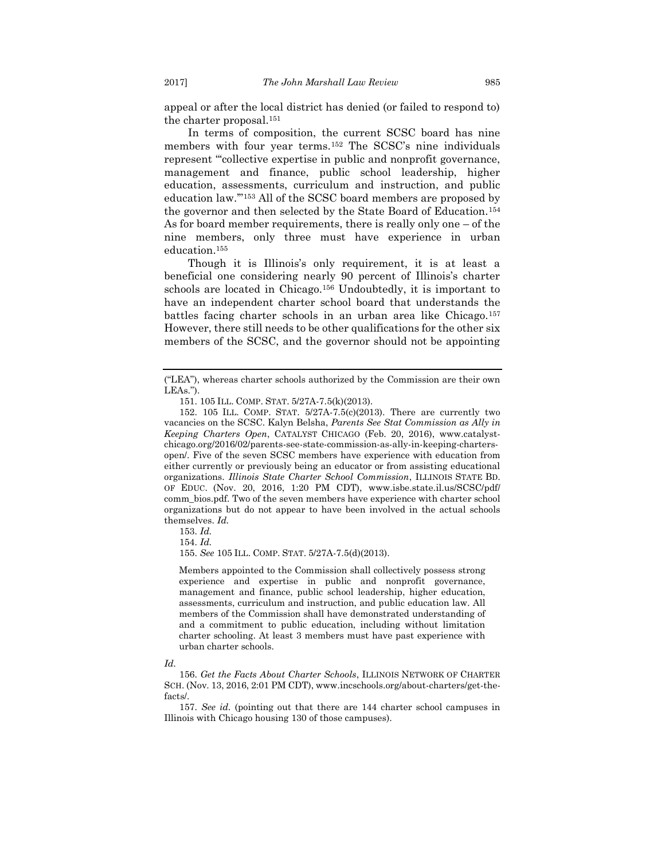appeal or after the local district has denied (or failed to respond to) the charter proposal.<sup>151</sup>

In terms of composition, the current SCSC board has nine members with four year terms.<sup>152</sup> The SCSC's nine individuals represent "'collective expertise in public and nonprofit governance, management and finance, public school leadership, higher education, assessments, curriculum and instruction, and public education law.'"<sup>153</sup> All of the SCSC board members are proposed by the governor and then selected by the State Board of Education.<sup>154</sup> As for board member requirements, there is really only one – of the nine members, only three must have experience in urban education.<sup>155</sup>

Though it is Illinois's only requirement, it is at least a beneficial one considering nearly 90 percent of Illinois's charter schools are located in Chicago.<sup>156</sup> Undoubtedly, it is important to have an independent charter school board that understands the battles facing charter schools in an urban area like Chicago.<sup>157</sup> However, there still needs to be other qualifications for the other six members of the SCSC, and the governor should not be appointing

152. 105 ILL. COMP. STAT. 5/27A-7.5(c)(2013). There are currently two vacancies on the SCSC. Kalyn Belsha, *Parents See Stat Commission as Ally in Keeping Charters Open*, CATALYST CHICAGO (Feb. 20, 2016), www.catalystchicago.org/2016/02/parents-see-state-commission-as-ally-in-keeping-chartersopen/. Five of the seven SCSC members have experience with education from either currently or previously being an educator or from assisting educational organizations. *Illinois State Charter School Commission*, ILLINOIS STATE BD. OF EDUC. (Nov. 20, 2016, 1:20 PM CDT), www.isbe.state.il.us/SCSC/pdf/ comm\_bios.pdf. Two of the seven members have experience with charter school organizations but do not appear to have been involved in the actual schools themselves. *Id.*

153. *Id.*

154. *Id.* 

155. *See* 105 ILL. COMP. STAT. 5/27A-7.5(d)(2013).

Members appointed to the Commission shall collectively possess strong experience and expertise in public and nonprofit governance, management and finance, public school leadership, higher education, assessments, curriculum and instruction, and public education law. All members of the Commission shall have demonstrated understanding of and a commitment to public education, including without limitation charter schooling. At least 3 members must have past experience with urban charter schools.

#### *Id.*

156. *Get the Facts About Charter Schools*, ILLINOIS NETWORK OF CHARTER SCH. (Nov. 13, 2016, 2:01 PM CDT), www.incschools.org/about-charters/get-thefacts/.

157. *See id.* (pointing out that there are 144 charter school campuses in Illinois with Chicago housing 130 of those campuses).

<sup>(&</sup>quot;LEA"), whereas charter schools authorized by the Commission are their own LEAs.").

<sup>151.</sup> 105 ILL. COMP. STAT. 5/27A-7.5(k)(2013).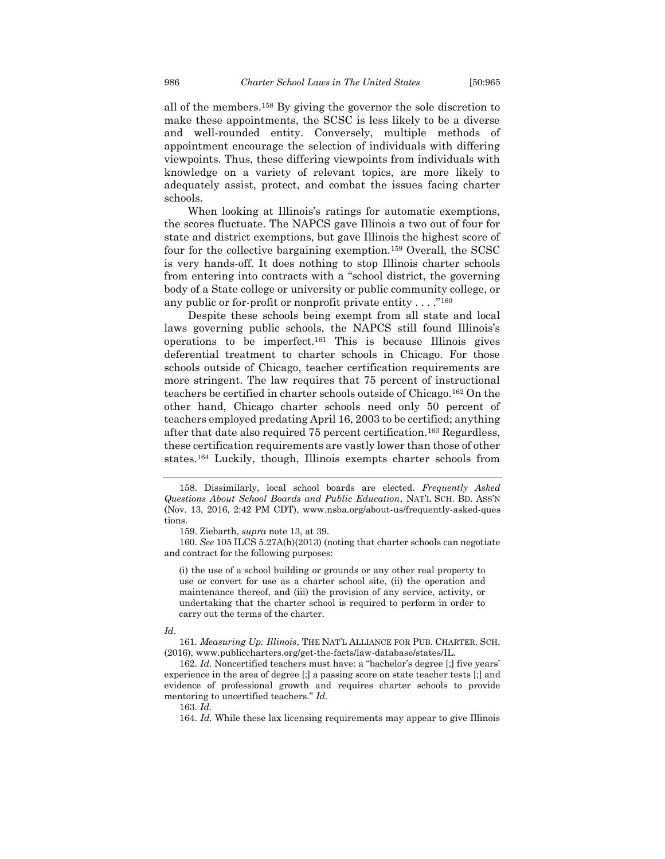all of the members.<sup>158</sup> By giving the governor the sole discretion to make these appointments, the SCSC is less likely to be a diverse and well-rounded entity. Conversely, multiple methods of appointment encourage the selection of individuals with differing viewpoints. Thus, these differing viewpoints from individuals with knowledge on a variety of relevant topics, are more likely to adequately assist, protect, and combat the issues facing charter schools.

When looking at Illinois's ratings for automatic exemptions, the scores fluctuate. The NAPCS gave Illinois a two out of four for state and district exemptions, but gave Illinois the highest score of four for the collective bargaining exemption.<sup>159</sup> Overall, the SCSC is very hands-off. It does nothing to stop Illinois charter schools from entering into contracts with a "school district, the governing body of a State college or university or public community college, or any public or for-profit or nonprofit private entity  $\dots$ ."<sup>160</sup>

Despite these schools being exempt from all state and local laws governing public schools, the NAPCS still found Illinois's operations to be imperfect.<sup>161</sup> This is because Illinois gives deferential treatment to charter schools in Chicago. For those schools outside of Chicago, teacher certification requirements are more stringent. The law requires that 75 percent of instructional teachers be certified in charter schools outside of Chicago.<sup>162</sup> On the other hand, Chicago charter schools need only 50 percent of teachers employed predating April 16, 2003 to be certified; anything after that date also required 75 percent certification.<sup>163</sup> Regardless, these certification requirements are vastly lower than those of other states.<sup>164</sup> Luckily, though, Illinois exempts charter schools from

(i) the use of a school building or grounds or any other real property to use or convert for use as a charter school site, (ii) the operation and maintenance thereof, and (iii) the provision of any service, activity, or undertaking that the charter school is required to perform in order to carry out the terms of the charter.

#### *Id*.

<sup>158.</sup> Dissimilarly, local school boards are elected. *Frequently Asked Questions About School Boards and Public Education*, NAT'L SCH. BD. ASS'N (Nov. 13, 2016, 2:42 PM CDT), www.nsba.org/about-us/frequently-asked-ques tions.

<sup>159.</sup> Ziebarth, *supra* note 13, at 39.

<sup>160.</sup> *See* 105 ILCS 5.27A(h)(2013) (noting that charter schools can negotiate and contract for the following purposes:

<sup>161.</sup> *Measuring Up: Illinois*, THE NAT'L ALLIANCE FOR PUB. CHARTER. SCH. (2016), www.publiccharters.org/get-the-facts/law-database/states/IL.

<sup>162.</sup> *Id.* Noncertified teachers must have: a "bachelor's degree [;] five years' experience in the area of degree [;] a passing score on state teacher tests [;] and evidence of professional growth and requires charter schools to provide mentoring to uncertified teachers." *Id.* 

<sup>163.</sup> *Id.* 

<sup>164.</sup> *Id.* While these lax licensing requirements may appear to give Illinois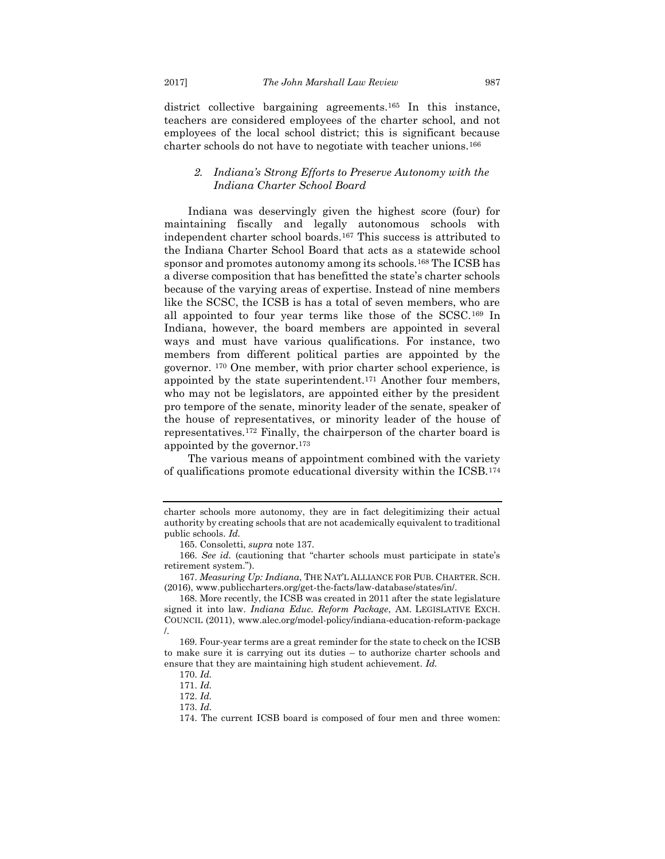district collective bargaining agreements.<sup>165</sup> In this instance, teachers are considered employees of the charter school, and not employees of the local school district; this is significant because charter schools do not have to negotiate with teacher unions.<sup>166</sup>

### <span id="page-23-0"></span>*2. Indiana's Strong Efforts to Preserve Autonomy with the Indiana Charter School Board*

Indiana was deservingly given the highest score (four) for maintaining fiscally and legally autonomous schools with independent charter school boards.<sup>167</sup> This success is attributed to the Indiana Charter School Board that acts as a statewide school sponsor and promotes autonomy among its schools.<sup>168</sup> The ICSB has a diverse composition that has benefitted the state's charter schools because of the varying areas of expertise. Instead of nine members like the SCSC, the ICSB is has a total of seven members, who are all appointed to four year terms like those of the SCSC.<sup>169</sup> In Indiana, however, the board members are appointed in several ways and must have various qualifications. For instance, two members from different political parties are appointed by the governor. <sup>170</sup> One member, with prior charter school experience, is appointed by the state superintendent.<sup>171</sup> Another four members, who may not be legislators, are appointed either by the president pro tempore of the senate, minority leader of the senate, speaker of the house of representatives, or minority leader of the house of representatives.<sup>172</sup> Finally, the chairperson of the charter board is appointed by the governor.<sup>173</sup>

The various means of appointment combined with the variety of qualifications promote educational diversity within the ICSB.<sup>174</sup>

charter schools more autonomy, they are in fact delegitimizing their actual authority by creating schools that are not academically equivalent to traditional public schools. *Id.*

<sup>165.</sup> Consoletti, *supra* note 137.

<sup>166.</sup> *See id.* (cautioning that "charter schools must participate in state's retirement system.").

<sup>167.</sup> *Measuring Up: Indiana*, THE NAT'L ALLIANCE FOR PUB. CHARTER. SCH. (2016), www.publiccharters.org/get-the-facts/law-database/states/in/.

<sup>168.</sup> More recently, the ICSB was created in 2011 after the state legislature signed it into law. *Indiana Educ. Reform Package*, AM. LEGISLATIVE EXCH. COUNCIL (2011), www.alec.org/model-policy/indiana-education-reform-package /.

<sup>169.</sup> Four-year terms are a great reminder for the state to check on the ICSB to make sure it is carrying out its duties – to authorize charter schools and ensure that they are maintaining high student achievement. *Id.*

<sup>170.</sup> *Id.*

<sup>171.</sup> *Id.* 

<sup>172.</sup> *Id.* 

<sup>173.</sup> *Id.*

<sup>174.</sup> The current ICSB board is composed of four men and three women: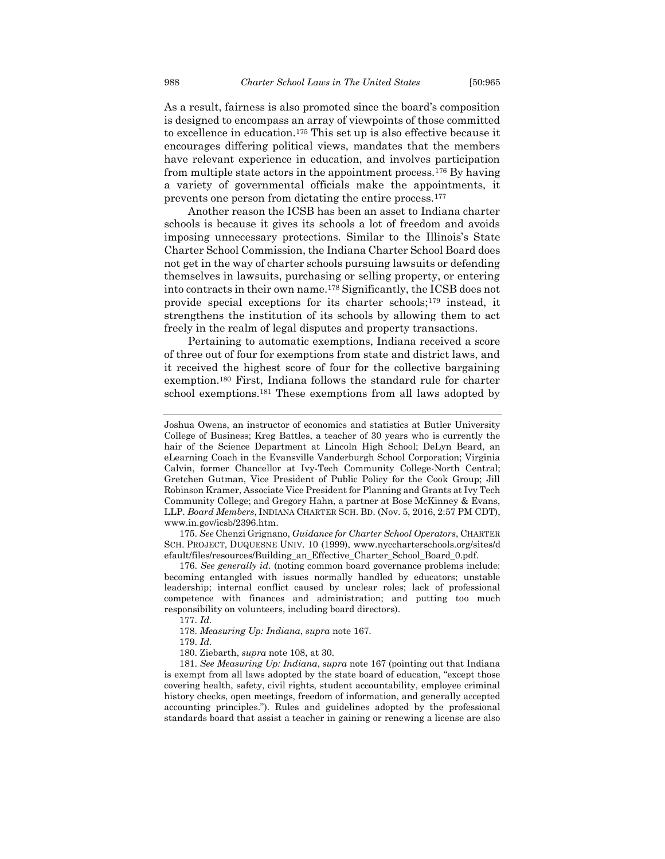As a result, fairness is also promoted since the board's composition is designed to encompass an array of viewpoints of those committed to excellence in education.<sup>175</sup> This set up is also effective because it encourages differing political views, mandates that the members have relevant experience in education, and involves participation from multiple state actors in the appointment process.<sup>176</sup> By having a variety of governmental officials make the appointments, it prevents one person from dictating the entire process.<sup>177</sup>

Another reason the ICSB has been an asset to Indiana charter schools is because it gives its schools a lot of freedom and avoids imposing unnecessary protections. Similar to the Illinois's State Charter School Commission, the Indiana Charter School Board does not get in the way of charter schools pursuing lawsuits or defending themselves in lawsuits, purchasing or selling property, or entering into contracts in their own name.<sup>178</sup> Significantly, the ICSB does not provide special exceptions for its charter schools;<sup>179</sup> instead, it strengthens the institution of its schools by allowing them to act freely in the realm of legal disputes and property transactions.

Pertaining to automatic exemptions, Indiana received a score of three out of four for exemptions from state and district laws, and it received the highest score of four for the collective bargaining exemption.<sup>180</sup> First, Indiana follows the standard rule for charter school exemptions.<sup>181</sup> These exemptions from all laws adopted by

175. *See* Chenzi Grignano, *Guidance for Charter School Operators*, CHARTER SCH. PROJECT, DUQUESNE UNIV. 10 (1999), www.nyccharterschools.org/sites/d efault/files/resources/Building\_an\_Effective\_Charter\_School\_Board\_0.pdf.

176. *See generally id.* (noting common board governance problems include: becoming entangled with issues normally handled by educators; unstable leadership; internal conflict caused by unclear roles; lack of professional competence with finances and administration; and putting too much responsibility on volunteers, including board directors).

177. *Id.*

178. *Measuring Up: Indiana*, *supra* note 167.

179. *Id.*

180. Ziebarth, *supra* note 108, at 30.

181. *See Measuring Up: Indiana*, *supra* note 167 (pointing out that Indiana is exempt from all laws adopted by the state board of education, "except those covering health, safety, civil rights, student accountability, employee criminal history checks, open meetings, freedom of information, and generally accepted accounting principles."). Rules and guidelines adopted by the professional standards board that assist a teacher in gaining or renewing a license are also

Joshua Owens, an instructor of economics and statistics at Butler University College of Business; Kreg Battles, a teacher of 30 years who is currently the hair of the Science Department at Lincoln High School; DeLyn Beard, an eLearning Coach in the Evansville Vanderburgh School Corporation; Virginia Calvin, former Chancellor at Ivy-Tech Community College-North Central; Gretchen Gutman, Vice President of Public Policy for the Cook Group; Jill Robinson Kramer, Associate Vice President for Planning and Grants at Ivy Tech Community College; and Gregory Hahn, a partner at Bose McKinney & Evans, LLP. *Board Members*, INDIANA CHARTER SCH. BD. (Nov. 5, 2016, 2:57 PM CDT), www.in.gov/icsb/2396.htm.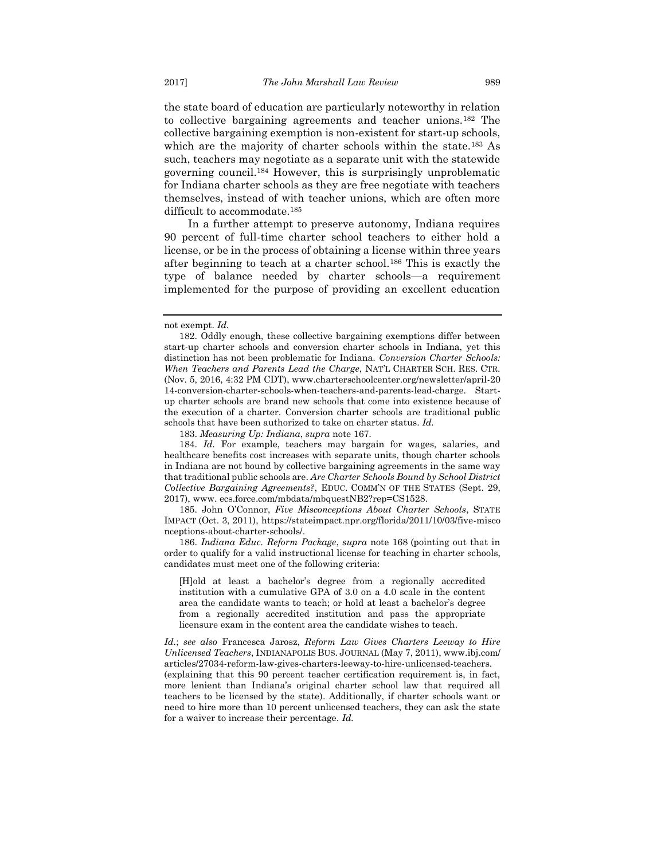the state board of education are particularly noteworthy in relation to collective bargaining agreements and teacher unions.<sup>182</sup> The collective bargaining exemption is non-existent for start-up schools, which are the majority of charter schools within the state.<sup>183</sup> As such, teachers may negotiate as a separate unit with the statewide governing council.<sup>184</sup> However, this is surprisingly unproblematic for Indiana charter schools as they are free negotiate with teachers themselves, instead of with teacher unions, which are often more difficult to accommodate.<sup>185</sup>

In a further attempt to preserve autonomy, Indiana requires 90 percent of full-time charter school teachers to either hold a license, or be in the process of obtaining a license within three years after beginning to teach at a charter school.<sup>186</sup> This is exactly the type of balance needed by charter schools—a requirement implemented for the purpose of providing an excellent education

183. *Measuring Up: Indiana*, *supra* note 167.

184. *Id.* For example, teachers may bargain for wages, salaries, and healthcare benefits cost increases with separate units, though charter schools in Indiana are not bound by collective bargaining agreements in the same way that traditional public schools are. *Are Charter Schools Bound by School District Collective Bargaining Agreements?*, EDUC. COMM'N OF THE STATES (Sept. 29, 2017), www. ecs.force.com/mbdata/mbquestNB2?rep=CS1528.

185. John O'Connor, *Five Misconceptions About Charter Schools*, STATE IMPACT (Oct. 3, 2011), https://stateimpact.npr.org/florida/2011/10/03/five-misco nceptions-about-charter-schools/.

186. *Indiana Educ. Reform Package*, *supra* note 168 (pointing out that in order to qualify for a valid instructional license for teaching in charter schools, candidates must meet one of the following criteria:

[H]old at least a bachelor's degree from a regionally accredited institution with a cumulative GPA of 3.0 on a 4.0 scale in the content area the candidate wants to teach; or hold at least a bachelor's degree from a regionally accredited institution and pass the appropriate licensure exam in the content area the candidate wishes to teach.

*Id.*; *see also* Francesca Jarosz, *Reform Law Gives Charters Leeway to Hire Unlicensed Teachers*, INDIANAPOLIS BUS. JOURNAL (May 7, 2011), www.ibj.com/ articles/27034-reform-law-gives-charters-leeway-to-hire-unlicensed-teachers. (explaining that this 90 percent teacher certification requirement is, in fact, more lenient than Indiana's original charter school law that required all teachers to be licensed by the state). Additionally, if charter schools want or need to hire more than 10 percent unlicensed teachers, they can ask the state for a waiver to increase their percentage. *Id.*

not exempt. *Id.* 

<sup>182.</sup> Oddly enough, these collective bargaining exemptions differ between start-up charter schools and conversion charter schools in Indiana, yet this distinction has not been problematic for Indiana. *Conversion Charter Schools: When Teachers and Parents Lead the Charge*, NAT'L CHARTER SCH. RES. CTR. (Nov. 5, 2016, 4:32 PM CDT), www.charterschoolcenter.org/newsletter/april-20 14-conversion-charter-schools-when-teachers-and-parents-lead-charge. Startup charter schools are brand new schools that come into existence because of the execution of a charter. Conversion charter schools are traditional public schools that have been authorized to take on charter status. *Id.*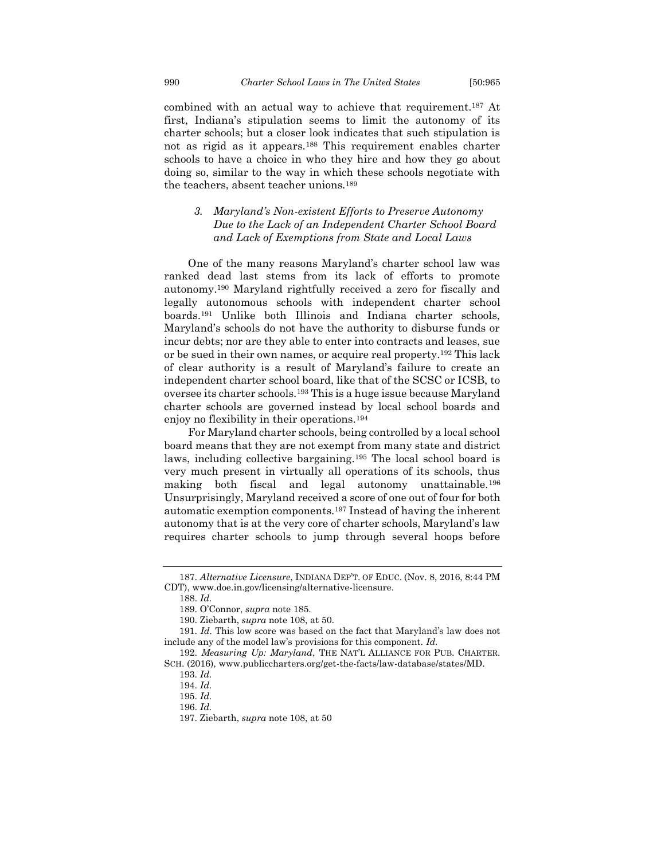combined with an actual way to achieve that requirement.<sup>187</sup> At first, Indiana's stipulation seems to limit the autonomy of its charter schools; but a closer look indicates that such stipulation is not as rigid as it appears.<sup>188</sup> This requirement enables charter schools to have a choice in who they hire and how they go about doing so, similar to the way in which these schools negotiate with the teachers, absent teacher unions.<sup>189</sup>

## <span id="page-26-0"></span>*3. Maryland's Non-existent Efforts to Preserve Autonomy Due to the Lack of an Independent Charter School Board and Lack of Exemptions from State and Local Laws*

One of the many reasons Maryland's charter school law was ranked dead last stems from its lack of efforts to promote autonomy.<sup>190</sup> Maryland rightfully received a zero for fiscally and legally autonomous schools with independent charter school boards.<sup>191</sup> Unlike both Illinois and Indiana charter schools, Maryland's schools do not have the authority to disburse funds or incur debts; nor are they able to enter into contracts and leases, sue or be sued in their own names, or acquire real property.<sup>192</sup> This lack of clear authority is a result of Maryland's failure to create an independent charter school board, like that of the SCSC or ICSB, to oversee its charter schools.<sup>193</sup> This is a huge issue because Maryland charter schools are governed instead by local school boards and enjoy no flexibility in their operations.<sup>194</sup>

For Maryland charter schools, being controlled by a local school board means that they are not exempt from many state and district laws, including collective bargaining.<sup>195</sup> The local school board is very much present in virtually all operations of its schools, thus making both fiscal and legal autonomy unattainable.<sup>196</sup> Unsurprisingly, Maryland received a score of one out of four for both automatic exemption components.<sup>197</sup> Instead of having the inherent autonomy that is at the very core of charter schools, Maryland's law requires charter schools to jump through several hoops before

<sup>187.</sup> *Alternative Licensure*, INDIANA DEP'T. OF EDUC. (Nov. 8, 2016, 8:44 PM CDT), www.doe.in.gov/licensing/alternative-licensure.

<sup>188.</sup> *Id.* 

<sup>189.</sup> O'Connor, *supra* note 185.

<sup>190.</sup> Ziebarth, *supra* note 108, at 50.

<sup>191.</sup> *Id.* This low score was based on the fact that Maryland's law does not include any of the model law's provisions for this component. *Id.*

<sup>192.</sup> *Measuring Up: Maryland*, THE NAT'L ALLIANCE FOR PUB. CHARTER. SCH. (2016), www.publiccharters.org/get-the-facts/law-database/states/MD.

<sup>193.</sup> *Id.*

<sup>194.</sup> *Id.*

<sup>195.</sup> *Id.* 

<sup>196.</sup> *Id.*

<sup>197.</sup> Ziebarth, *supra* note 108, at 50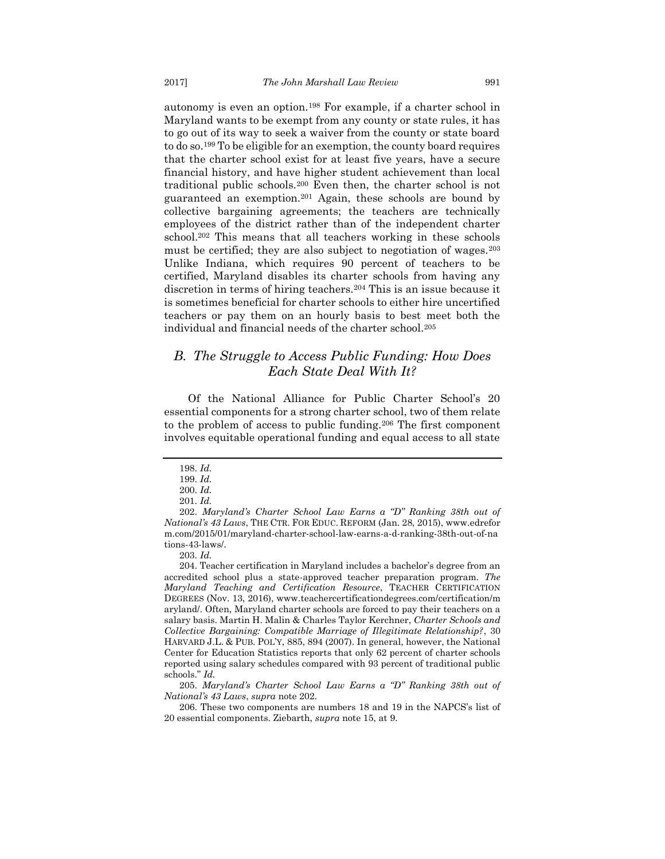autonomy is even an option.<sup>198</sup> For example, if a charter school in Maryland wants to be exempt from any county or state rules, it has to go out of its way to seek a waiver from the county or state board to do so.<sup>199</sup> To be eligible for an exemption, the county board requires that the charter school exist for at least five years, have a secure financial history, and have higher student achievement than local traditional public schools.<sup>200</sup> Even then, the charter school is not guaranteed an exemption.<sup>201</sup> Again, these schools are bound by collective bargaining agreements; the teachers are technically employees of the district rather than of the independent charter school.<sup>202</sup> This means that all teachers working in these schools must be certified; they are also subject to negotiation of wages.<sup>203</sup> Unlike Indiana, which requires 90 percent of teachers to be certified, Maryland disables its charter schools from having any discretion in terms of hiring teachers.<sup>204</sup> This is an issue because it is sometimes beneficial for charter schools to either hire uncertified teachers or pay them on an hourly basis to best meet both the individual and financial needs of the charter school.<sup>205</sup>

## <span id="page-27-0"></span>*B. The Struggle to Access Public Funding: How Does Each State Deal With It?*

Of the National Alliance for Public Charter School's 20 essential components for a strong charter school, two of them relate to the problem of access to public funding.<sup>206</sup> The first component involves equitable operational funding and equal access to all state

203. *Id.*

204. Teacher certification in Maryland includes a bachelor's degree from an accredited school plus a state-approved teacher preparation program. *The Maryland Teaching and Certification Resource*, TEACHER CERTIFICATION DEGREES (Nov. 13, 2016), www.teachercertificationdegrees.com/certification/m aryland/. Often, Maryland charter schools are forced to pay their teachers on a salary basis. Martin H. Malin & Charles Taylor Kerchner, *Charter Schools and Collective Bargaining: Compatible Marriage of Illegitimate Relationship?*, 30 HARVARD J.L. & PUB. POL'Y, 885, 894 (2007). In general, however, the National Center for Education Statistics reports that only 62 percent of charter schools reported using salary schedules compared with 93 percent of traditional public schools." *Id.*

205. *Maryland's Charter School Law Earns a "D" Ranking 38th out of National's 43 Laws*, *supra* note 202.

206. These two components are numbers 18 and 19 in the NAPCS's list of 20 essential components. Ziebarth, *supra* note 15, at 9.

<sup>198.</sup> *Id.*

<sup>199.</sup> *Id.*

<sup>200.</sup> *Id.*

<sup>201.</sup> *Id.*

<sup>202.</sup> *Maryland's Charter School Law Earns a "D" Ranking 38th out of National's 43 Laws*, THE CTR. FOR EDUC. REFORM (Jan. 28, 2015), www.edrefor m.com/2015/01/maryland-charter-school-law-earns-a-d-ranking-38th-out-of-na tions-43-laws/.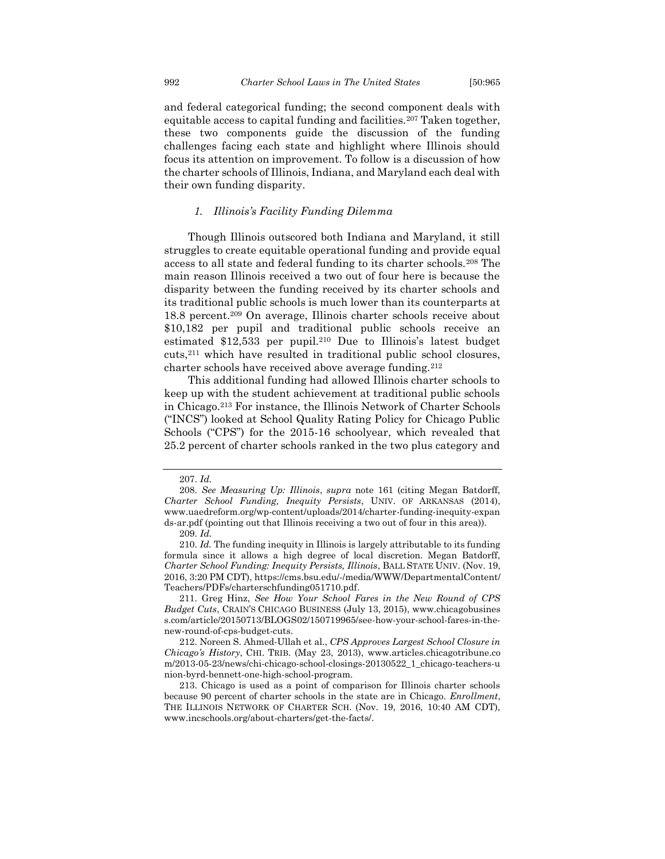and federal categorical funding; the second component deals with equitable access to capital funding and facilities.<sup>207</sup> Taken together, these two components guide the discussion of the funding challenges facing each state and highlight where Illinois should focus its attention on improvement. To follow is a discussion of how the charter schools of Illinois, Indiana, and Maryland each deal with their own funding disparity.

#### *1. Illinois's Facility Funding Dilemma*

<span id="page-28-0"></span>Though Illinois outscored both Indiana and Maryland, it still struggles to create equitable operational funding and provide equal access to all state and federal funding to its charter schools.<sup>208</sup> The main reason Illinois received a two out of four here is because the disparity between the funding received by its charter schools and its traditional public schools is much lower than its counterparts at 18.8 percent.<sup>209</sup> On average, Illinois charter schools receive about \$10,182 per pupil and traditional public schools receive an estimated \$12,533 per pupil.<sup>210</sup> Due to Illinois's latest budget cuts,<sup>211</sup> which have resulted in traditional public school closures, charter schools have received above average funding.<sup>212</sup>

This additional funding had allowed Illinois charter schools to keep up with the student achievement at traditional public schools in Chicago.<sup>213</sup> For instance, the Illinois Network of Charter Schools ("INCS") looked at School Quality Rating Policy for Chicago Public Schools ("CPS") for the 2015-16 schoolyear, which revealed that 25.2 percent of charter schools ranked in the two plus category and

211. Greg Hinz, *See How Your School Fares in the New Round of CPS Budget Cuts*, CRAIN'S CHICAGO BUSINESS (July 13, 2015), www.chicagobusines s.com/article/20150713/BLOGS02/150719965/see-how-your-school-fares-in-thenew-round-of-cps-budget-cuts.

212. Noreen S. Ahmed-Ullah et al., *CPS Approves Largest School Closure in Chicago's History*, CHI. TRIB. (May 23, 2013), www.articles.chicagotribune.co m/2013-05-23/news/chi-chicago-school-closings-20130522\_1\_chicago-teachers-u nion-byrd-bennett-one-high-school-program.

213. Chicago is used as a point of comparison for Illinois charter schools because 90 percent of charter schools in the state are in Chicago. *Enrollment*, THE ILLINOIS NETWORK OF CHARTER SCH. (Nov. 19, 2016, 10:40 AM CDT), www.incschools.org/about-charters/get-the-facts/.

<sup>207.</sup> *Id.*

<sup>208.</sup> *See Measuring Up: Illinois*, *supra* note 161 (citing Megan Batdorff, *Charter School Funding, Inequity Persists*, UNIV. OF ARKANSAS (2014), www.uaedreform.org/wp-content/uploads/2014/charter-funding-inequity-expan ds-ar.pdf (pointing out that Illinois receiving a two out of four in this area)).

<sup>209.</sup> *Id.*

<sup>210.</sup> *Id.* The funding inequity in Illinois is largely attributable to its funding formula since it allows a high degree of local discretion. Megan Batdorff, *Charter School Funding: Inequity Persists, Illinois*, BALL STATE UNIV. (Nov. 19, 2016, 3:20 PM CDT), https://cms.bsu.edu/-/media/WWW/DepartmentalContent/ Teachers/PDFs/charterschfunding051710.pdf.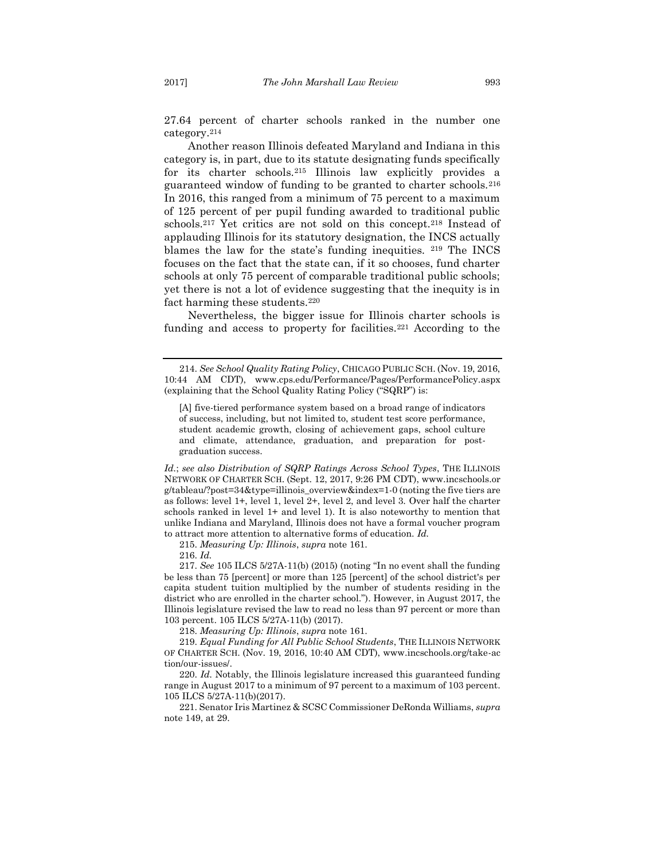27.64 percent of charter schools ranked in the number one category.<sup>214</sup>

Another reason Illinois defeated Maryland and Indiana in this category is, in part, due to its statute designating funds specifically for its charter schools.<sup>215</sup> Illinois law explicitly provides a guaranteed window of funding to be granted to charter schools.<sup>216</sup> In 2016, this ranged from a minimum of 75 percent to a maximum of 125 percent of per pupil funding awarded to traditional public schools.<sup>217</sup> Yet critics are not sold on this concept.<sup>218</sup> Instead of applauding Illinois for its statutory designation, the INCS actually blames the law for the state's funding inequities. <sup>219</sup> The INCS focuses on the fact that the state can, if it so chooses, fund charter schools at only 75 percent of comparable traditional public schools; yet there is not a lot of evidence suggesting that the inequity is in fact harming these students.<sup>220</sup>

Nevertheless, the bigger issue for Illinois charter schools is funding and access to property for facilities.<sup>221</sup> According to the

*Id.*; *see also Distribution of SQRP Ratings Across School Types*, THE ILLINOIS NETWORK OF CHARTER SCH. (Sept. 12, 2017, 9:26 PM CDT), www.incschools.or g/tableau/?post=34&type=illinois\_overview&index=1-0 (noting the five tiers are as follows: level 1+, level 1, level 2+, level 2, and level 3. Over half the charter schools ranked in level 1+ and level 1). It is also noteworthy to mention that unlike Indiana and Maryland, Illinois does not have a formal voucher program to attract more attention to alternative forms of education. *Id.*

215. *Measuring Up: Illinois*, *supra* note 161.

216. *Id.*

217. *See* 105 ILCS 5/27A-11(b) (2015) (noting "In no event shall the funding be less than 75 [percent] or more than 125 [percent] of the school district's per capita student tuition multiplied by the number of students residing in the district who are enrolled in the charter school."). However, in August 2017, the Illinois legislature revised the law to read no less than 97 percent or more than 103 percent. 105 ILCS 5/27A-11(b) (2017).

218. *Measuring Up: Illinois*, *supra* note 161.

219. *Equal Funding for All Public School Students*, THE ILLINOIS NETWORK OF CHARTER SCH. (Nov. 19, 2016, 10:40 AM CDT), www.incschools.org/take-ac tion/our-issues/.

220. *Id.* Notably, the Illinois legislature increased this guaranteed funding range in August 2017 to a minimum of 97 percent to a maximum of 103 percent. 105 ILCS 5/27A-11(b)(2017).

221. Senator Iris Martinez & SCSC Commissioner DeRonda Williams, *supra*  note 149, at 29.

<sup>214.</sup> *See School Quality Rating Policy*, CHICAGO PUBLIC SCH. (Nov. 19, 2016, 10:44 AM CDT), www.cps.edu/Performance/Pages/PerformancePolicy.aspx (explaining that the School Quality Rating Policy ("SQRP") is:

<sup>[</sup>A] five-tiered performance system based on a broad range of indicators of success, including, but not limited to, student test score performance, student academic growth, closing of achievement gaps, school culture and climate, attendance, graduation, and preparation for postgraduation success.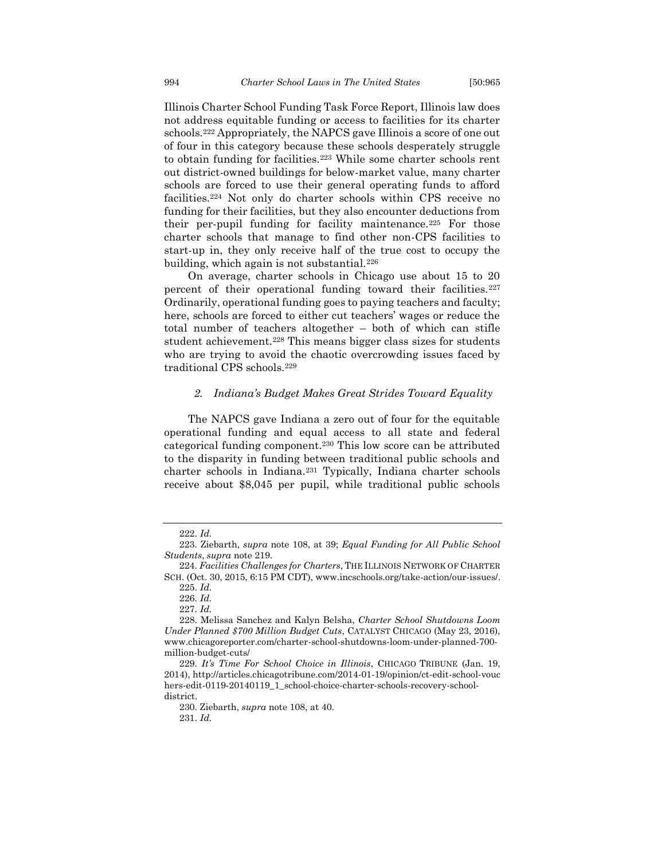Illinois Charter School Funding Task Force Report, Illinois law does not address equitable funding or access to facilities for its charter schools.<sup>222</sup> Appropriately, the NAPCS gave Illinois a score of one out of four in this category because these schools desperately struggle to obtain funding for facilities.<sup>223</sup> While some charter schools rent out district-owned buildings for below-market value, many charter schools are forced to use their general operating funds to afford facilities.<sup>224</sup> Not only do charter schools within CPS receive no funding for their facilities, but they also encounter deductions from their per-pupil funding for facility maintenance.<sup>225</sup> For those charter schools that manage to find other non-CPS facilities to start-up in, they only receive half of the true cost to occupy the building, which again is not substantial.<sup>226</sup>

On average, charter schools in Chicago use about 15 to 20 percent of their operational funding toward their facilities.<sup>227</sup> Ordinarily, operational funding goes to paying teachers and faculty; here, schools are forced to either cut teachers' wages or reduce the total number of teachers altogether – both of which can stifle student achievement.<sup>228</sup> This means bigger class sizes for students who are trying to avoid the chaotic overcrowding issues faced by traditional CPS schools.<sup>229</sup>

#### *2. Indiana's Budget Makes Great Strides Toward Equality*

<span id="page-30-0"></span>The NAPCS gave Indiana a zero out of four for the equitable operational funding and equal access to all state and federal categorical funding component.<sup>230</sup> This low score can be attributed to the disparity in funding between traditional public schools and charter schools in Indiana.<sup>231</sup> Typically, Indiana charter schools receive about \$8,045 per pupil, while traditional public schools

<sup>222.</sup> *Id.*

<sup>223.</sup> Ziebarth, *supra* note 108, at 39; *Equal Funding for All Public School Students*, *supra* note 219.

<sup>224.</sup> *Facilities Challenges for Charters*, THE ILLINOIS NETWORK OF CHARTER SCH. (Oct. 30, 2015, 6:15 PM CDT), www.incschools.org/take-action/our-issues/.

<sup>225.</sup> *Id.*

<sup>226.</sup> *Id.*

<sup>227.</sup> *Id.*

<sup>228.</sup> Melissa Sanchez and Kalyn Belsha, *Charter School Shutdowns Loom Under Planned \$700 Million Budget Cuts*, CATALYST CHICAGO (May 23, 2016), www.chicagoreporter.com/charter-school-shutdowns-loom-under-planned-700 million-budget-cuts/

<sup>229.</sup> *It's Time For School Choice in Illinois*, CHICAGO TRIBUNE (Jan. 19, 2014), http://articles.chicagotribune.com/2014-01-19/opinion/ct-edit-school-vouc hers-edit-0119-20140119\_1\_school-choice-charter-schools-recovery-schooldistrict.

<sup>230.</sup> Ziebarth, *supra* note 108, at 40.

<sup>231.</sup> *Id.*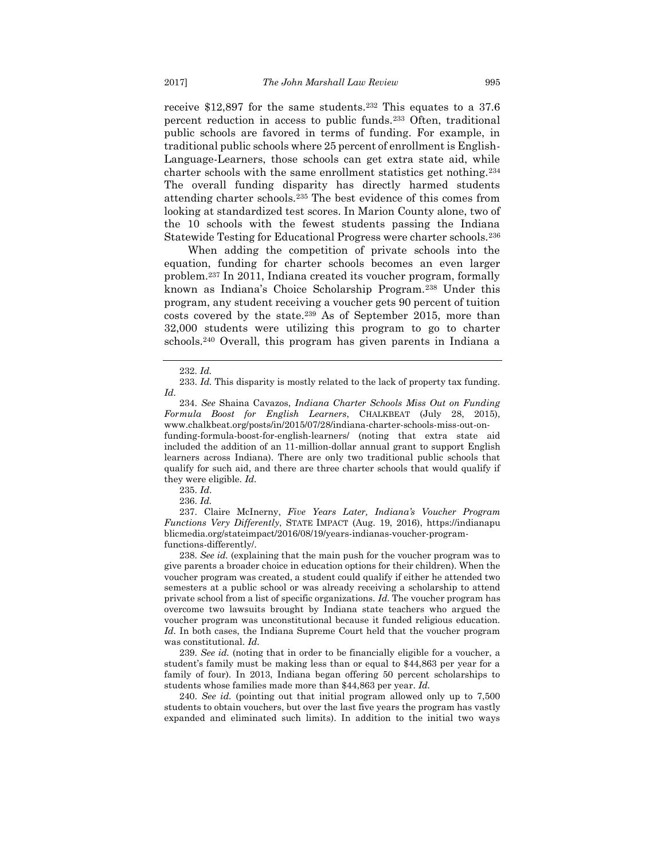receive \$12,897 for the same students.<sup>232</sup> This equates to a 37.6 percent reduction in access to public funds.<sup>233</sup> Often, traditional public schools are favored in terms of funding. For example, in traditional public schools where 25 percent of enrollment is English-Language-Learners, those schools can get extra state aid, while charter schools with the same enrollment statistics get nothing.<sup>234</sup> The overall funding disparity has directly harmed students attending charter schools.<sup>235</sup> The best evidence of this comes from looking at standardized test scores. In Marion County alone, two of the 10 schools with the fewest students passing the Indiana Statewide Testing for Educational Progress were charter schools.<sup>236</sup>

When adding the competition of private schools into the equation, funding for charter schools becomes an even larger problem.<sup>237</sup> In 2011, Indiana created its voucher program, formally known as Indiana's Choice Scholarship Program.<sup>238</sup> Under this program, any student receiving a voucher gets 90 percent of tuition costs covered by the state.<sup>239</sup> As of September 2015, more than 32,000 students were utilizing this program to go to charter schools.<sup>240</sup> Overall, this program has given parents in Indiana a

235. *Id*.

236. *Id.*

237. Claire McInerny, *Five Years Later, Indiana's Voucher Program Functions Very Differently*, STATE IMPACT (Aug. 19, 2016), https://indianapu blicmedia.org/stateimpact/2016/08/19/years-indianas-voucher-programfunctions-differently/.

238. *See id.* (explaining that the main push for the voucher program was to give parents a broader choice in education options for their children). When the voucher program was created, a student could qualify if either he attended two semesters at a public school or was already receiving a scholarship to attend private school from a list of specific organizations. *Id.* The voucher program has overcome two lawsuits brought by Indiana state teachers who argued the voucher program was unconstitutional because it funded religious education. *Id.* In both cases, the Indiana Supreme Court held that the voucher program was constitutional. *Id.*

239. *See id.* (noting that in order to be financially eligible for a voucher, a student's family must be making less than or equal to \$44,863 per year for a family of four). In 2013, Indiana began offering 50 percent scholarships to students whose families made more than \$44,863 per year. *Id.* 

240. *See id.* (pointing out that initial program allowed only up to 7,500 students to obtain vouchers, but over the last five years the program has vastly expanded and eliminated such limits). In addition to the initial two ways

<sup>232.</sup> *Id.*

<sup>233.</sup> *Id.* This disparity is mostly related to the lack of property tax funding. *Id.* 

<sup>234.</sup> *See* Shaina Cavazos, *Indiana Charter Schools Miss Out on Funding Formula Boost for English Learners*, CHALKBEAT (July 28, 2015), www.chalkbeat.org/posts/in/2015/07/28/indiana-charter-schools-miss-out-onfunding-formula-boost-for-english-learners/ (noting that extra state aid included the addition of an 11-million-dollar annual grant to support English learners across Indiana). There are only two traditional public schools that qualify for such aid, and there are three charter schools that would qualify if they were eligible. *Id.*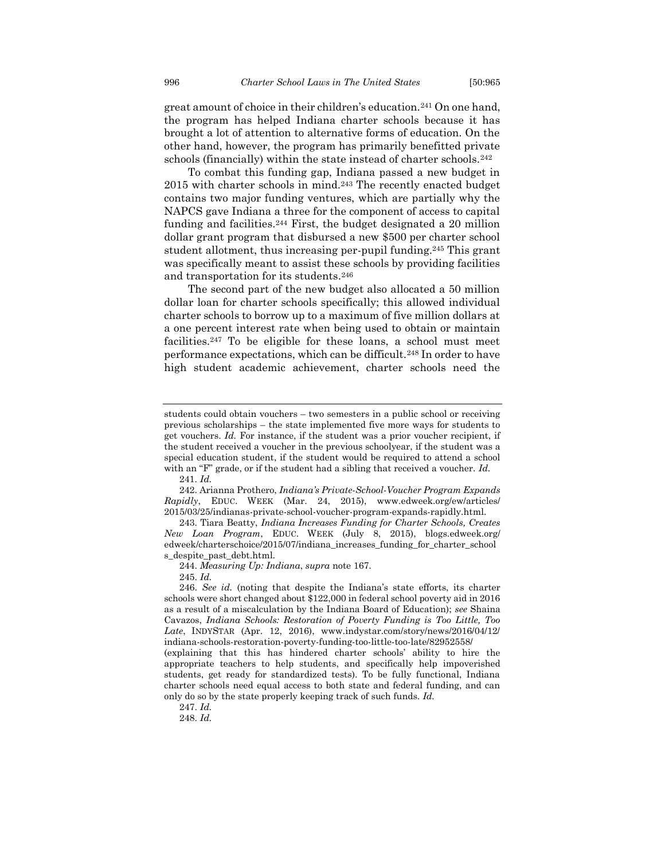great amount of choice in their children's education.<sup>241</sup> On one hand, the program has helped Indiana charter schools because it has brought a lot of attention to alternative forms of education. On the other hand, however, the program has primarily benefitted private schools (financially) within the state instead of charter schools.<sup>242</sup>

To combat this funding gap, Indiana passed a new budget in 2015 with charter schools in mind.<sup>243</sup> The recently enacted budget contains two major funding ventures, which are partially why the NAPCS gave Indiana a three for the component of access to capital funding and facilities.<sup>244</sup> First, the budget designated a 20 million dollar grant program that disbursed a new \$500 per charter school student allotment, thus increasing per-pupil funding.<sup>245</sup> This grant was specifically meant to assist these schools by providing facilities and transportation for its students.<sup>246</sup>

The second part of the new budget also allocated a 50 million dollar loan for charter schools specifically; this allowed individual charter schools to borrow up to a maximum of five million dollars at a one percent interest rate when being used to obtain or maintain facilities.<sup>247</sup> To be eligible for these loans, a school must meet performance expectations, which can be difficult.<sup>248</sup> In order to have high student academic achievement, charter schools need the

245. *Id.*

students could obtain vouchers – two semesters in a public school or receiving previous scholarships – the state implemented five more ways for students to get vouchers. *Id.* For instance, if the student was a prior voucher recipient, if the student received a voucher in the previous schoolyear, if the student was a special education student, if the student would be required to attend a school with an "F" grade, or if the student had a sibling that received a voucher. *Id.*

<sup>241.</sup> *Id.* 

<sup>242.</sup> Arianna Prothero, *Indiana's Private-School-Voucher Program Expands Rapidly*, EDUC. WEEK (Mar. 24, 2015), www.edweek.org/ew/articles/ 2015/03/25/indianas-private-school-voucher-program-expands-rapidly.html.

<sup>243.</sup> Tiara Beatty, *Indiana Increases Funding for Charter Schools, Creates New Loan Program*, EDUC. WEEK (July 8, 2015), blogs.edweek.org/ edweek/charterschoice/2015/07/indiana\_increases\_funding\_for\_charter\_school s\_despite\_past\_debt.html.

<sup>244.</sup> *Measuring Up: Indiana*, *supra* note 167.

<sup>246.</sup> *See id.* (noting that despite the Indiana's state efforts, its charter schools were short changed about \$122,000 in federal school poverty aid in 2016 as a result of a miscalculation by the Indiana Board of Education); *see* Shaina Cavazos, *Indiana Schools: Restoration of Poverty Funding is Too Little, Too Late*, INDYSTAR (Apr. 12, 2016), www.indystar.com/story/news/2016/04/12/ indiana-schools-restoration-poverty-funding-too-little-too-late/82952558/

<sup>(</sup>explaining that this has hindered charter schools' ability to hire the appropriate teachers to help students, and specifically help impoverished students, get ready for standardized tests). To be fully functional, Indiana charter schools need equal access to both state and federal funding, and can only do so by the state properly keeping track of such funds. *Id.*

<sup>247.</sup> *Id.*

<sup>248.</sup> *Id.*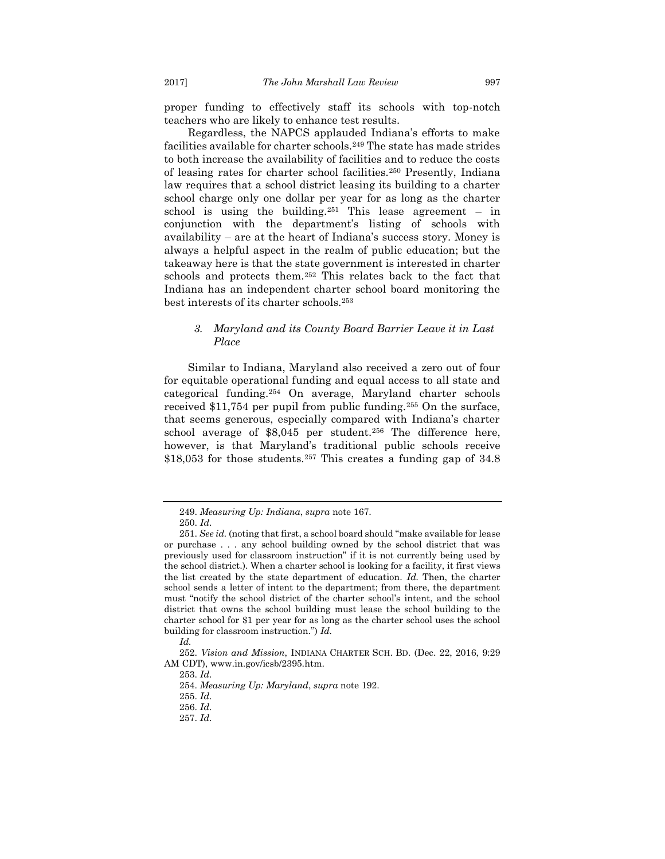proper funding to effectively staff its schools with top-notch teachers who are likely to enhance test results.

Regardless, the NAPCS applauded Indiana's efforts to make facilities available for charter schools.<sup>249</sup> The state has made strides to both increase the availability of facilities and to reduce the costs of leasing rates for charter school facilities.<sup>250</sup> Presently, Indiana law requires that a school district leasing its building to a charter school charge only one dollar per year for as long as the charter school is using the building.<sup>251</sup> This lease agreement – in conjunction with the department's listing of schools with availability – are at the heart of Indiana's success story. Money is always a helpful aspect in the realm of public education; but the takeaway here is that the state government is interested in charter schools and protects them.<sup>252</sup> This relates back to the fact that Indiana has an independent charter school board monitoring the best interests of its charter schools.<sup>253</sup>

### <span id="page-33-0"></span>*3. Maryland and its County Board Barrier Leave it in Last Place*

Similar to Indiana, Maryland also received a zero out of four for equitable operational funding and equal access to all state and categorical funding.<sup>254</sup> On average, Maryland charter schools received \$11,754 per pupil from public funding.<sup>255</sup> On the surface, that seems generous, especially compared with Indiana's charter school average of \$8,045 per student.<sup>256</sup> The difference here, however, is that Maryland's traditional public schools receive \$18,053 for those students.<sup>257</sup> This creates a funding gap of 34.8

<sup>249.</sup> *Measuring Up: Indiana*, *supra* note 167.

<sup>250.</sup> *Id*.

<sup>251.</sup> *See id.* (noting that first, a school board should "make available for lease or purchase . . . any school building owned by the school district that was previously used for classroom instruction" if it is not currently being used by the school district.). When a charter school is looking for a facility, it first views the list created by the state department of education. *Id.* Then, the charter school sends a letter of intent to the department; from there, the department must "notify the school district of the charter school's intent, and the school district that owns the school building must lease the school building to the charter school for \$1 per year for as long as the charter school uses the school building for classroom instruction.") *Id.*

*Id.*

<sup>252.</sup> *Vision and Mission*, INDIANA CHARTER SCH. BD. (Dec. 22, 2016, 9:29 AM CDT), www.in.gov/icsb/2395.htm.

<sup>253.</sup> *Id*.

<sup>254.</sup> *Measuring Up: Maryland*, *supra* note 192.

<sup>255.</sup> *Id*.

<sup>256.</sup> *Id*.

<sup>257.</sup> *Id*.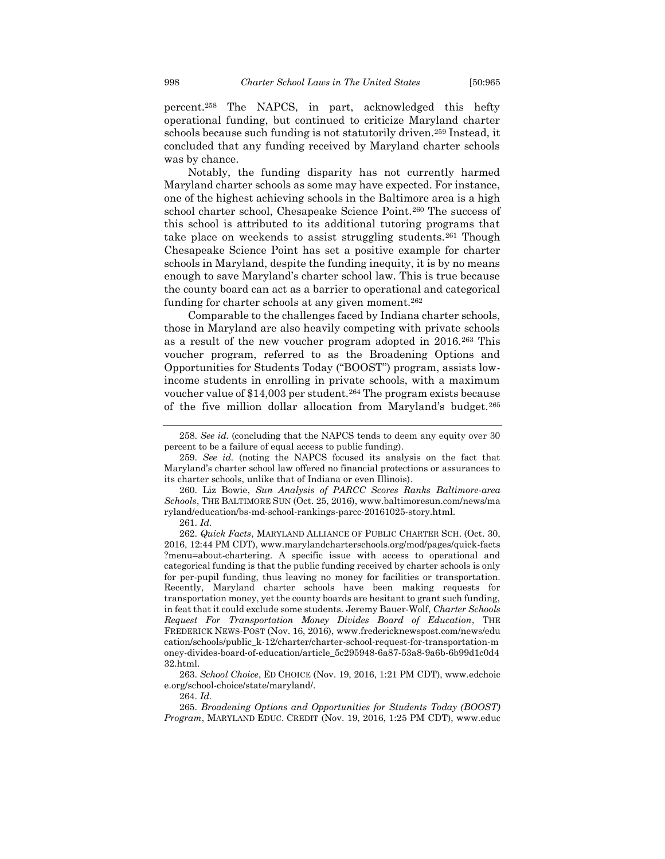percent.<sup>258</sup> The NAPCS, in part, acknowledged this hefty operational funding, but continued to criticize Maryland charter schools because such funding is not statutorily driven.<sup>259</sup> Instead, it concluded that any funding received by Maryland charter schools was by chance.

Notably, the funding disparity has not currently harmed Maryland charter schools as some may have expected. For instance, one of the highest achieving schools in the Baltimore area is a high school charter school, Chesapeake Science Point.<sup>260</sup> The success of this school is attributed to its additional tutoring programs that take place on weekends to assist struggling students.<sup>261</sup> Though Chesapeake Science Point has set a positive example for charter schools in Maryland, despite the funding inequity, it is by no means enough to save Maryland's charter school law. This is true because the county board can act as a barrier to operational and categorical funding for charter schools at any given moment.<sup>262</sup>

Comparable to the challenges faced by Indiana charter schools, those in Maryland are also heavily competing with private schools as a result of the new voucher program adopted in 2016.<sup>263</sup> This voucher program, referred to as the Broadening Options and Opportunities for Students Today ("BOOST") program, assists lowincome students in enrolling in private schools, with a maximum voucher value of \$14,003 per student.<sup>264</sup> The program exists because of the five million dollar allocation from Maryland's budget.<sup>265</sup>

261. *Id.* 

264. *Id.*

<sup>258.</sup> *See id.* (concluding that the NAPCS tends to deem any equity over 30 percent to be a failure of equal access to public funding).

<sup>259.</sup> *See id.* (noting the NAPCS focused its analysis on the fact that Maryland's charter school law offered no financial protections or assurances to its charter schools, unlike that of Indiana or even Illinois).

<sup>260.</sup> Liz Bowie, *Sun Analysis of PARCC Scores Ranks Baltimore-area Schools*, THE BALTIMORE SUN (Oct. 25, 2016), www.baltimoresun.com/news/ma ryland/education/bs-md-school-rankings-parcc-20161025-story.html.

<sup>262.</sup> *Quick Facts*, MARYLAND ALLIANCE OF PUBLIC CHARTER SCH. (Oct. 30, 2016, 12:44 PM CDT), www.marylandcharterschools.org/mod/pages/quick-facts ?menu=about-chartering. A specific issue with access to operational and categorical funding is that the public funding received by charter schools is only for per-pupil funding, thus leaving no money for facilities or transportation. Recently, Maryland charter schools have been making requests for transportation money, yet the county boards are hesitant to grant such funding, in feat that it could exclude some students. Jeremy Bauer-Wolf, *Charter Schools Request For Transportation Money Divides Board of Education*, THE FREDERICK NEWS-POST (Nov. 16, 2016), www.fredericknewspost.com/news/edu cation/schools/public\_k-12/charter/charter-school-request-for-transportation-m oney-divides-board-of-education/article\_5c295948-6a87-53a8-9a6b-6b99d1c0d4 32.html.

<sup>263.</sup> *School Choice*, ED CHOICE (Nov. 19, 2016, 1:21 PM CDT), www.edchoic e.org/school-choice/state/maryland/.

<sup>265.</sup> *Broadening Options and Opportunities for Students Today (BOOST) Program*, MARYLAND EDUC. CREDIT (Nov. 19, 2016, 1:25 PM CDT), www.educ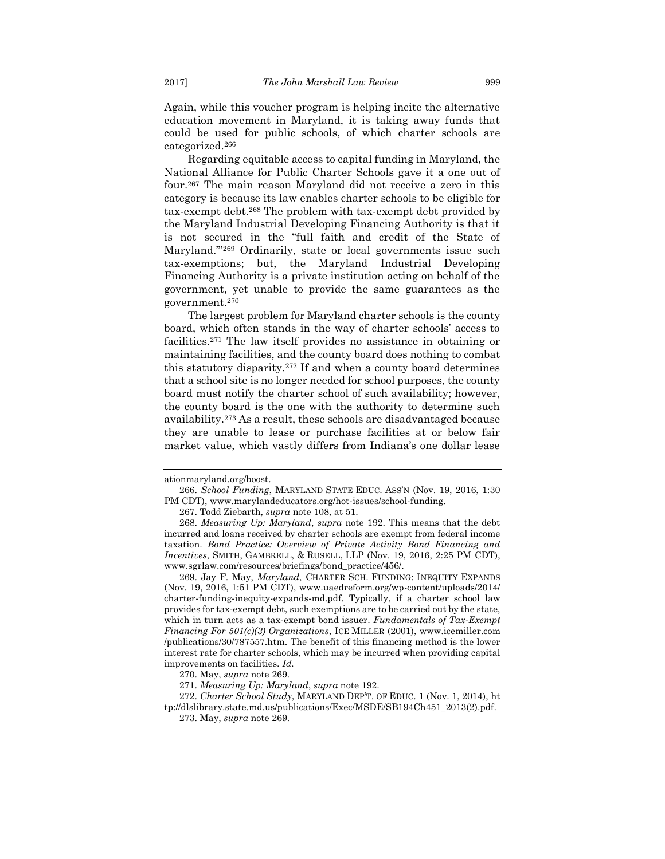Again, while this voucher program is helping incite the alternative education movement in Maryland, it is taking away funds that could be used for public schools, of which charter schools are categorized.<sup>266</sup>

Regarding equitable access to capital funding in Maryland, the National Alliance for Public Charter Schools gave it a one out of four.<sup>267</sup> The main reason Maryland did not receive a zero in this category is because its law enables charter schools to be eligible for tax-exempt debt.<sup>268</sup> The problem with tax-exempt debt provided by the Maryland Industrial Developing Financing Authority is that it is not secured in the "full faith and credit of the State of Maryland."'<sup>269</sup> Ordinarily, state or local governments issue such tax-exemptions; but, the Maryland Industrial Developing Financing Authority is a private institution acting on behalf of the government, yet unable to provide the same guarantees as the government.<sup>270</sup>

The largest problem for Maryland charter schools is the county board, which often stands in the way of charter schools' access to facilities.<sup>271</sup> The law itself provides no assistance in obtaining or maintaining facilities, and the county board does nothing to combat this statutory disparity.<sup>272</sup> If and when a county board determines that a school site is no longer needed for school purposes, the county board must notify the charter school of such availability; however, the county board is the one with the authority to determine such availability.<sup>273</sup> As a result, these schools are disadvantaged because they are unable to lease or purchase facilities at or below fair market value, which vastly differs from Indiana's one dollar lease

ationmaryland.org/boost.

<sup>266.</sup> *School Funding*, MARYLAND STATE EDUC. ASS'N (Nov. 19, 2016, 1:30 PM CDT), www.marylandeducators.org/hot-issues/school-funding.

<sup>267.</sup> Todd Ziebarth, *supra* note 108, at 51.

<sup>268.</sup> *Measuring Up: Maryland*, *supra* note 192. This means that the debt incurred and loans received by charter schools are exempt from federal income taxation. *Bond Practice: Overview of Private Activity Bond Financing and Incentives*, SMITH, GAMBRELL, & RUSELL, LLP (Nov. 19, 2016, 2:25 PM CDT), www.sgrlaw.com/resources/briefings/bond\_practice/456/.

<sup>269.</sup> Jay F. May, *Maryland*, CHARTER SCH. FUNDING: INEQUITY EXPANDS (Nov. 19, 2016, 1:51 PM CDT), www.uaedreform.org/wp-content/uploads/2014/ charter-funding-inequity-expands-md.pdf. Typically, if a charter school law provides for tax-exempt debt, such exemptions are to be carried out by the state, which in turn acts as a tax-exempt bond issuer. *Fundamentals of Tax-Exempt Financing For 501(c)(3) Organizations*, ICE MILLER (2001), www.icemiller.com /publications/30/787557.htm. The benefit of this financing method is the lower interest rate for charter schools, which may be incurred when providing capital improvements on facilities. *Id.*

<sup>270.</sup> May, *supra* note 269.

<sup>271.</sup> *Measuring Up: Maryland*, *supra* note 192.

<sup>272.</sup> *Charter School Study*, MARYLAND DEP'T. OF EDUC. 1 (Nov. 1, 2014), ht tp://dlslibrary.state.md.us/publications/Exec/MSDE/SB194Ch451\_2013(2).pdf.

<sup>273.</sup> May, *supra* note 269.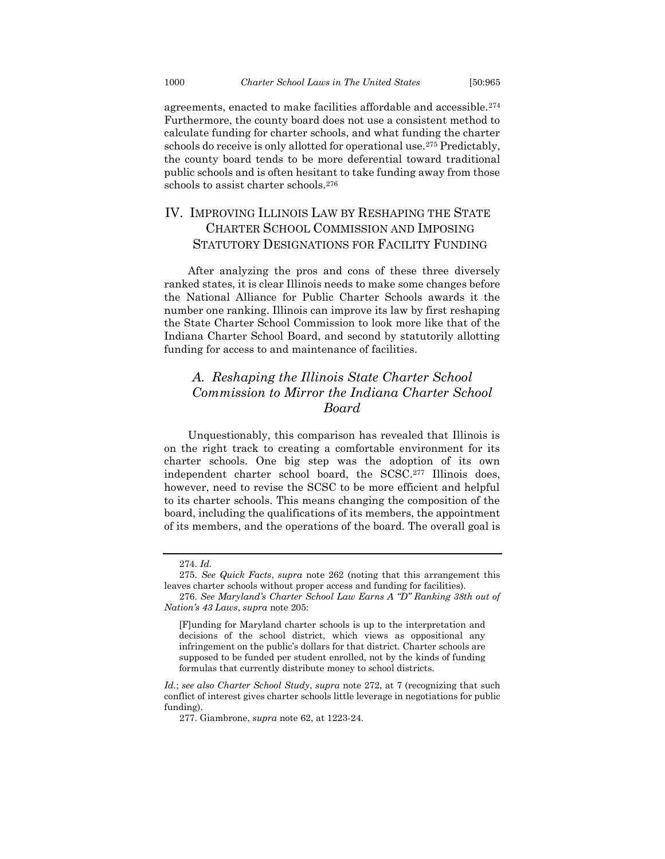agreements, enacted to make facilities affordable and accessible.<sup>274</sup> Furthermore, the county board does not use a consistent method to calculate funding for charter schools, and what funding the charter schools do receive is only allotted for operational use.<sup>275</sup> Predictably, the county board tends to be more deferential toward traditional public schools and is often hesitant to take funding away from those schools to assist charter schools.<sup>276</sup>

## <span id="page-36-0"></span>IV. IMPROVING ILLINOIS LAW BY RESHAPING THE STATE CHARTER SCHOOL COMMISSION AND IMPOSING STATUTORY DESIGNATIONS FOR FACILITY FUNDING

After analyzing the pros and cons of these three diversely ranked states, it is clear Illinois needs to make some changes before the National Alliance for Public Charter Schools awards it the number one ranking. Illinois can improve its law by first reshaping the State Charter School Commission to look more like that of the Indiana Charter School Board, and second by statutorily allotting funding for access to and maintenance of facilities.

## <span id="page-36-1"></span>*A. Reshaping the Illinois State Charter School Commission to Mirror the Indiana Charter School Board*

Unquestionably, this comparison has revealed that Illinois is on the right track to creating a comfortable environment for its charter schools. One big step was the adoption of its own independent charter school board, the SCSC. <sup>277</sup> Illinois does, however, need to revise the SCSC to be more efficient and helpful to its charter schools. This means changing the composition of the board, including the qualifications of its members, the appointment of its members, and the operations of the board. The overall goal is

<sup>274.</sup> *Id.* 

<sup>275.</sup> *See Quick Facts*, *supra* note 262 (noting that this arrangement this leaves charter schools without proper access and funding for facilities).

<sup>276.</sup> *See Maryland's Charter School Law Earns A "D" Ranking 38th out of Nation's 43 Laws*, *supra* note 205:

<sup>[</sup>F]unding for Maryland charter schools is up to the interpretation and decisions of the school district, which views as oppositional any infringement on the public's dollars for that district. Charter schools are supposed to be funded per student enrolled, not by the kinds of funding formulas that currently distribute money to school districts.

*Id.*; *see also Charter School Study*, *supra* note 272, at 7 (recognizing that such conflict of interest gives charter schools little leverage in negotiations for public funding).

<sup>277.</sup> Giambrone, *supra* note 62, at 1223-24.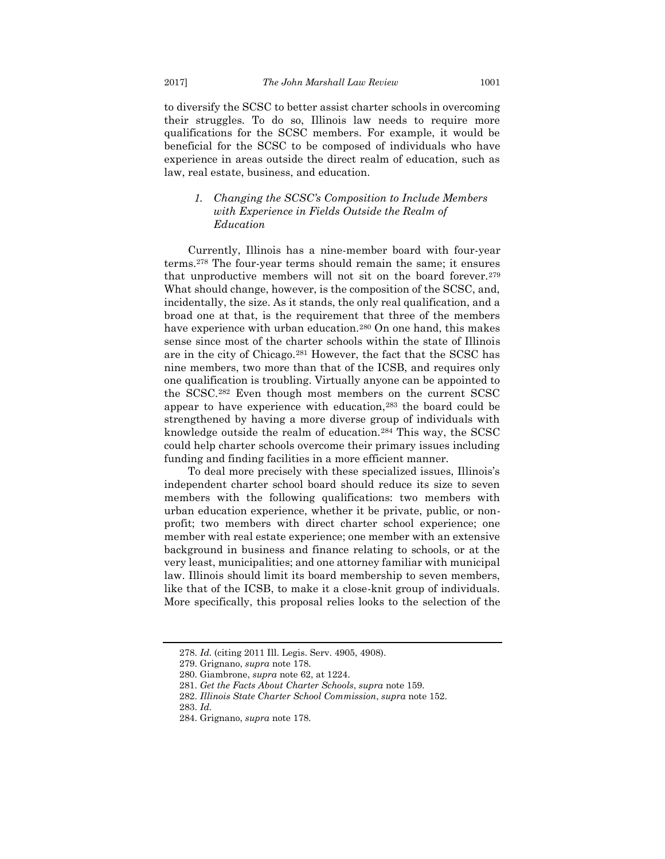to diversify the SCSC to better assist charter schools in overcoming their struggles. To do so, Illinois law needs to require more qualifications for the SCSC members. For example, it would be beneficial for the SCSC to be composed of individuals who have experience in areas outside the direct realm of education, such as law, real estate, business, and education.

### <span id="page-37-0"></span>*1. Changing the SCSC's Composition to Include Members with Experience in Fields Outside the Realm of Education*

Currently, Illinois has a nine-member board with four-year terms.<sup>278</sup> The four-year terms should remain the same; it ensures that unproductive members will not sit on the board forever.<sup>279</sup> What should change, however, is the composition of the SCSC, and, incidentally, the size. As it stands, the only real qualification, and a broad one at that, is the requirement that three of the members have experience with urban education.<sup>280</sup> On one hand, this makes sense since most of the charter schools within the state of Illinois are in the city of Chicago.<sup>281</sup> However, the fact that the SCSC has nine members, two more than that of the ICSB, and requires only one qualification is troubling. Virtually anyone can be appointed to the SCSC.<sup>282</sup> Even though most members on the current SCSC appear to have experience with education,<sup>283</sup> the board could be strengthened by having a more diverse group of individuals with knowledge outside the realm of education.<sup>284</sup> This way, the SCSC could help charter schools overcome their primary issues including funding and finding facilities in a more efficient manner.

To deal more precisely with these specialized issues, Illinois's independent charter school board should reduce its size to seven members with the following qualifications: two members with urban education experience, whether it be private, public, or nonprofit; two members with direct charter school experience; one member with real estate experience; one member with an extensive background in business and finance relating to schools, or at the very least, municipalities; and one attorney familiar with municipal law. Illinois should limit its board membership to seven members, like that of the ICSB, to make it a close-knit group of individuals. More specifically, this proposal relies looks to the selection of the

<sup>278.</sup> *Id.* (citing 2011 Ill. Legis. Serv. 4905, 4908).

<sup>279.</sup> Grignano, *supra* note 178.

<sup>280.</sup> Giambrone, *supra* note 62, at 1224.

<sup>281.</sup> *Get the Facts About Charter Schools*, *supra* note 159.

<sup>282.</sup> *Illinois State Charter School Commission*, *supra* note 152.

<sup>283.</sup> *Id.* 

<sup>284.</sup> Grignano, *supra* note 178.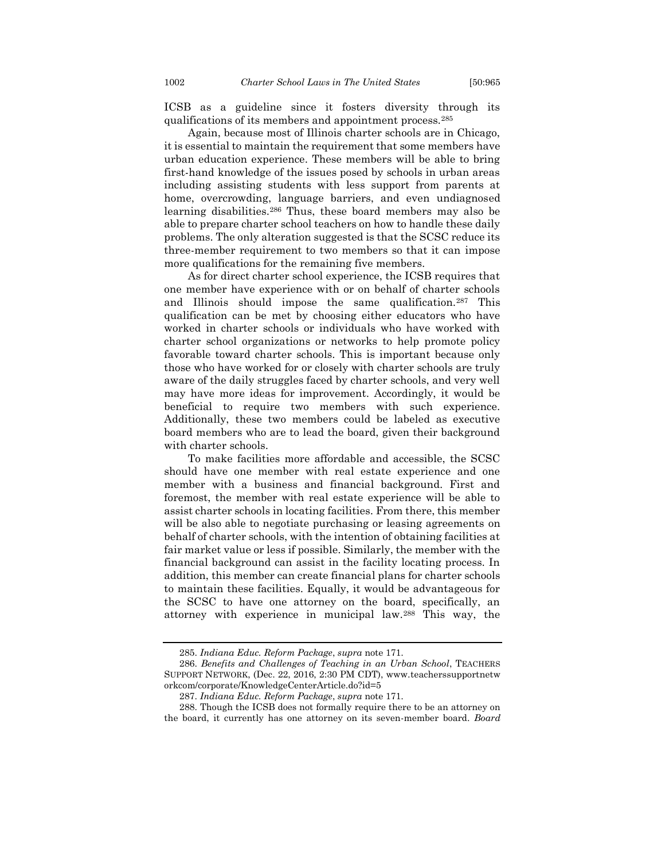ICSB as a guideline since it fosters diversity through its qualifications of its members and appointment process.<sup>285</sup>

Again, because most of Illinois charter schools are in Chicago, it is essential to maintain the requirement that some members have urban education experience. These members will be able to bring first-hand knowledge of the issues posed by schools in urban areas including assisting students with less support from parents at home, overcrowding, language barriers, and even undiagnosed learning disabilities.<sup>286</sup> Thus, these board members may also be able to prepare charter school teachers on how to handle these daily problems. The only alteration suggested is that the SCSC reduce its three-member requirement to two members so that it can impose more qualifications for the remaining five members.

As for direct charter school experience, the ICSB requires that one member have experience with or on behalf of charter schools and Illinois should impose the same qualification.<sup>287</sup> This qualification can be met by choosing either educators who have worked in charter schools or individuals who have worked with charter school organizations or networks to help promote policy favorable toward charter schools. This is important because only those who have worked for or closely with charter schools are truly aware of the daily struggles faced by charter schools, and very well may have more ideas for improvement. Accordingly, it would be beneficial to require two members with such experience. Additionally, these two members could be labeled as executive board members who are to lead the board, given their background with charter schools.

To make facilities more affordable and accessible, the SCSC should have one member with real estate experience and one member with a business and financial background. First and foremost, the member with real estate experience will be able to assist charter schools in locating facilities. From there, this member will be also able to negotiate purchasing or leasing agreements on behalf of charter schools, with the intention of obtaining facilities at fair market value or less if possible. Similarly, the member with the financial background can assist in the facility locating process. In addition, this member can create financial plans for charter schools to maintain these facilities. Equally, it would be advantageous for the SCSC to have one attorney on the board, specifically, an attorney with experience in municipal law.<sup>288</sup> This way, the

<sup>285.</sup> *Indiana Educ. Reform Package*, *supra* note 171.

<sup>286.</sup> *Benefits and Challenges of Teaching in an Urban School*, TEACHERS SUPPORT NETWORK, (Dec. 22, 2016, 2:30 PM CDT), www.teacherssupportnetw orkcom/corporate/KnowledgeCenterArticle.do?id=5

<sup>287.</sup> *Indiana Educ. Reform Package*, *supra* note 171.

<sup>288.</sup> Though the ICSB does not formally require there to be an attorney on the board, it currently has one attorney on its seven-member board. *Board*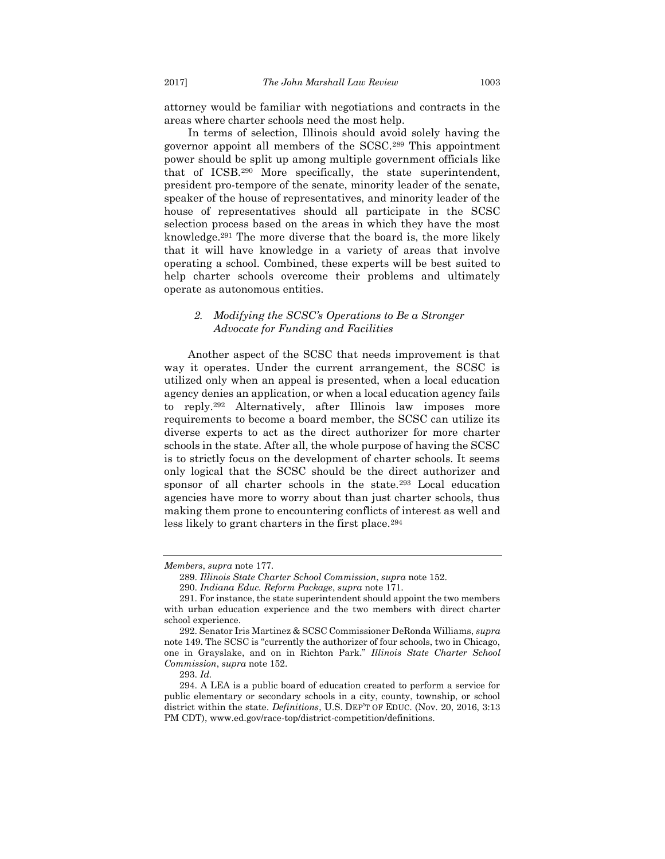attorney would be familiar with negotiations and contracts in the areas where charter schools need the most help.

In terms of selection, Illinois should avoid solely having the governor appoint all members of the SCSC.<sup>289</sup> This appointment power should be split up among multiple government officials like that of ICSB.<sup>290</sup> More specifically, the state superintendent, president pro-tempore of the senate, minority leader of the senate, speaker of the house of representatives, and minority leader of the house of representatives should all participate in the SCSC selection process based on the areas in which they have the most knowledge.<sup>291</sup> The more diverse that the board is, the more likely that it will have knowledge in a variety of areas that involve operating a school. Combined, these experts will be best suited to help charter schools overcome their problems and ultimately operate as autonomous entities.

### <span id="page-39-0"></span>*2. Modifying the SCSC's Operations to Be a Stronger Advocate for Funding and Facilities*

Another aspect of the SCSC that needs improvement is that way it operates. Under the current arrangement, the SCSC is utilized only when an appeal is presented, when a local education agency denies an application, or when a local education agency fails to reply.<sup>292</sup> Alternatively, after Illinois law imposes more requirements to become a board member, the SCSC can utilize its diverse experts to act as the direct authorizer for more charter schools in the state. After all, the whole purpose of having the SCSC is to strictly focus on the development of charter schools. It seems only logical that the SCSC should be the direct authorizer and sponsor of all charter schools in the state.<sup>293</sup> Local education agencies have more to worry about than just charter schools, thus making them prone to encountering conflicts of interest as well and less likely to grant charters in the first place.<sup>294</sup>

*Members*, *supra* note 177.

<sup>289.</sup> *Illinois State Charter School Commission*, *supra* note 152.

<sup>290.</sup> *Indiana Educ. Reform Package*, *supra* note 171.

<sup>291.</sup> For instance, the state superintendent should appoint the two members with urban education experience and the two members with direct charter school experience.

<sup>292.</sup> Senator Iris Martinez & SCSC Commissioner DeRonda Williams, *supra*  note 149. The SCSC is "currently the authorizer of four schools, two in Chicago, one in Grayslake, and on in Richton Park." *Illinois State Charter School Commission*, *supra* note 152.

<sup>293.</sup> *Id.* 

<sup>294.</sup> A LEA is a public board of education created to perform a service for public elementary or secondary schools in a city, county, township, or school district within the state. *Definitions*, U.S. DEP'T OF EDUC. (Nov. 20, 2016, 3:13 PM CDT), www.ed.gov/race-top/district-competition/definitions.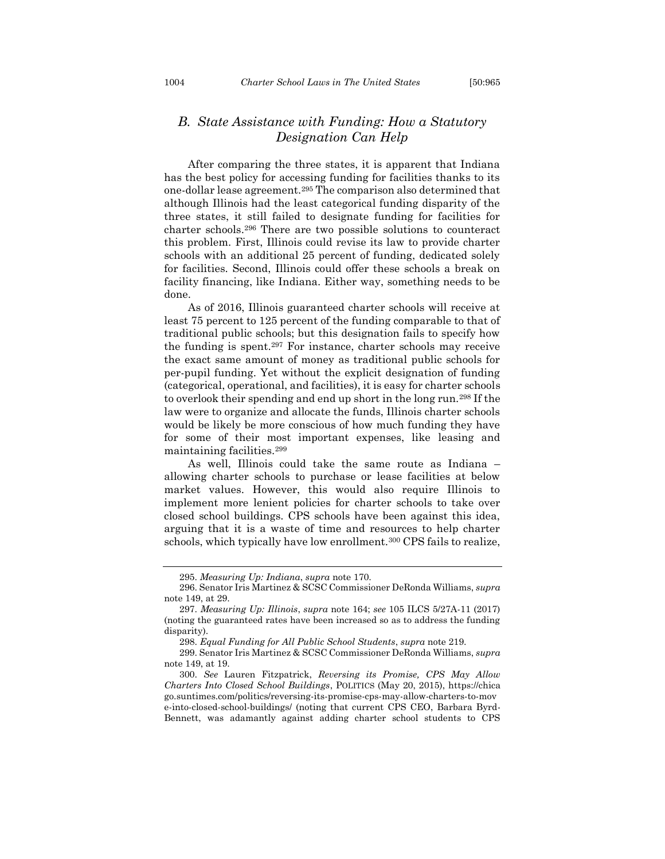## <span id="page-40-0"></span>*B. State Assistance with Funding: How a Statutory Designation Can Help*

After comparing the three states, it is apparent that Indiana has the best policy for accessing funding for facilities thanks to its one-dollar lease agreement.<sup>295</sup> The comparison also determined that although Illinois had the least categorical funding disparity of the three states, it still failed to designate funding for facilities for charter schools.<sup>296</sup> There are two possible solutions to counteract this problem. First, Illinois could revise its law to provide charter schools with an additional 25 percent of funding, dedicated solely for facilities. Second, Illinois could offer these schools a break on facility financing, like Indiana. Either way, something needs to be done.

As of 2016, Illinois guaranteed charter schools will receive at least 75 percent to 125 percent of the funding comparable to that of traditional public schools; but this designation fails to specify how the funding is spent.<sup>297</sup> For instance, charter schools may receive the exact same amount of money as traditional public schools for per-pupil funding. Yet without the explicit designation of funding (categorical, operational, and facilities), it is easy for charter schools to overlook their spending and end up short in the long run.<sup>298</sup> If the law were to organize and allocate the funds, Illinois charter schools would be likely be more conscious of how much funding they have for some of their most important expenses, like leasing and maintaining facilities.<sup>299</sup>

As well, Illinois could take the same route as Indiana – allowing charter schools to purchase or lease facilities at below market values. However, this would also require Illinois to implement more lenient policies for charter schools to take over closed school buildings. CPS schools have been against this idea, arguing that it is a waste of time and resources to help charter schools, which typically have low enrollment.<sup>300</sup> CPS fails to realize,

<sup>295.</sup> *Measuring Up: Indiana*, *supra* note 170.

<sup>296.</sup> Senator Iris Martinez & SCSC Commissioner DeRonda Williams, *supra*  note 149, at 29.

<sup>297.</sup> *Measuring Up: Illinois*, *supra* note 164; *see* 105 ILCS 5/27A-11 (2017) (noting the guaranteed rates have been increased so as to address the funding disparity).

<sup>298.</sup> *Equal Funding for All Public School Students*, *supra* note 219.

<sup>299.</sup> Senator Iris Martinez & SCSC Commissioner DeRonda Williams, *supra*  note 149, at 19.

<sup>300.</sup> *See* Lauren Fitzpatrick, *Reversing its Promise, CPS May Allow Charters Into Closed School Buildings*, POLITICS (May 20, 2015), https://chica go.suntimes.com/politics/reversing-its-promise-cps-may-allow-charters-to-mov e-into-closed-school-buildings/ (noting that current CPS CEO, Barbara Byrd-Bennett, was adamantly against adding charter school students to CPS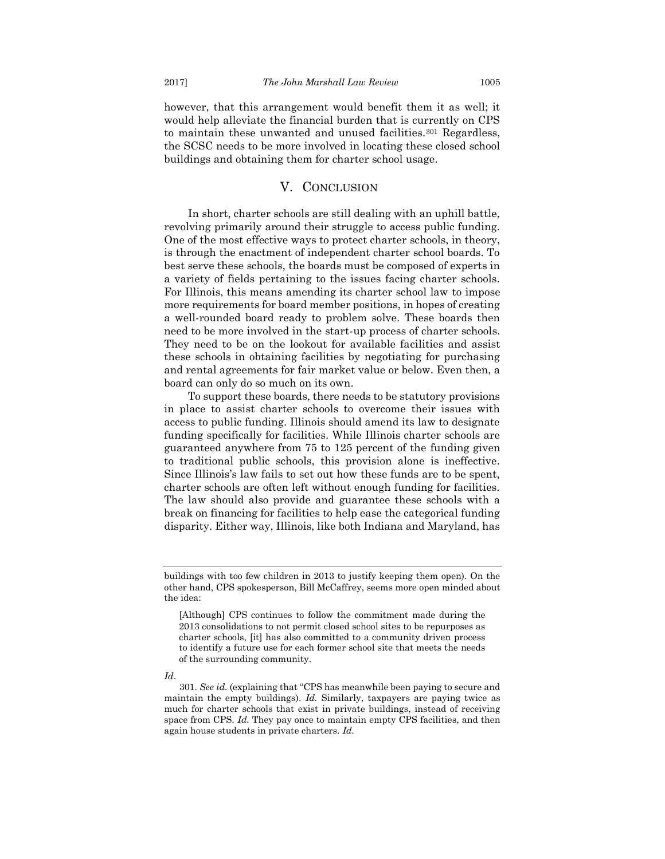however, that this arrangement would benefit them it as well; it would help alleviate the financial burden that is currently on CPS to maintain these unwanted and unused facilities.<sup>301</sup> Regardless, the SCSC needs to be more involved in locating these closed school buildings and obtaining them for charter school usage.

## V. CONCLUSION

<span id="page-41-0"></span>In short, charter schools are still dealing with an uphill battle, revolving primarily around their struggle to access public funding. One of the most effective ways to protect charter schools, in theory, is through the enactment of independent charter school boards. To best serve these schools, the boards must be composed of experts in a variety of fields pertaining to the issues facing charter schools. For Illinois, this means amending its charter school law to impose more requirements for board member positions, in hopes of creating a well-rounded board ready to problem solve. These boards then need to be more involved in the start-up process of charter schools. They need to be on the lookout for available facilities and assist these schools in obtaining facilities by negotiating for purchasing and rental agreements for fair market value or below. Even then, a board can only do so much on its own.

To support these boards, there needs to be statutory provisions in place to assist charter schools to overcome their issues with access to public funding. Illinois should amend its law to designate funding specifically for facilities. While Illinois charter schools are guaranteed anywhere from 75 to 125 percent of the funding given to traditional public schools, this provision alone is ineffective. Since Illinois's law fails to set out how these funds are to be spent, charter schools are often left without enough funding for facilities. The law should also provide and guarantee these schools with a break on financing for facilities to help ease the categorical funding disparity. Either way, Illinois, like both Indiana and Maryland, has

#### *Id*.

buildings with too few children in 2013 to justify keeping them open). On the other hand, CPS spokesperson, Bill McCaffrey, seems more open minded about the idea:

<sup>[</sup>Although] CPS continues to follow the commitment made during the 2013 consolidations to not permit closed school sites to be repurposes as charter schools, [it] has also committed to a community driven process to identify a future use for each former school site that meets the needs of the surrounding community.

<sup>301.</sup> *See id.* (explaining that "CPS has meanwhile been paying to secure and maintain the empty buildings). *Id.* Similarly, taxpayers are paying twice as much for charter schools that exist in private buildings, instead of receiving space from CPS. *Id.* They pay once to maintain empty CPS facilities, and then again house students in private charters. *Id.*